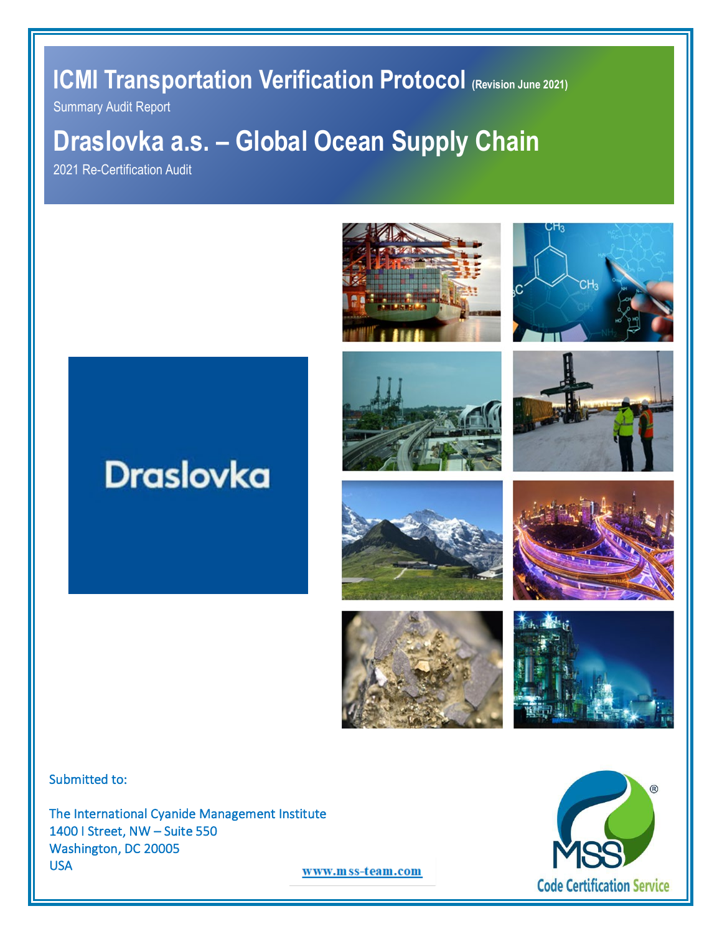**ICMI Transportation Verification Protocol (Revision June 2021)** 

Summary Audit Report

# **Draslovka a.s. – Global Ocean Supply Chain**

2021 Re-Certification Audit



















Submitted to:

The International Cyanide Management Institute 1400 I Street, NW – Suite 550 Washington, DC 20005 USA



www.mss-team.com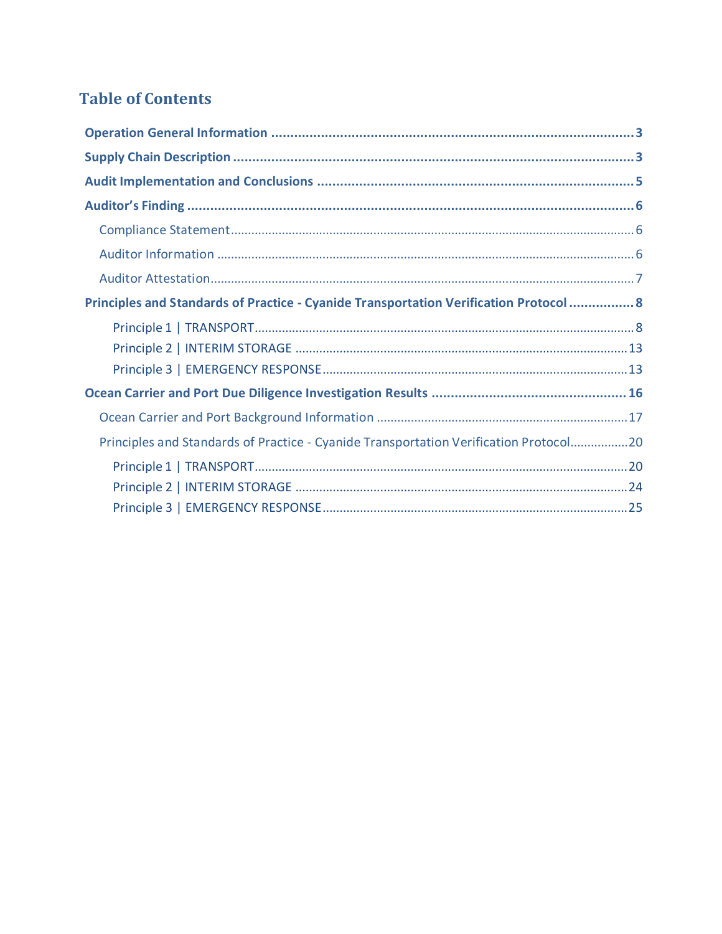# **Table of Contents**

| Principles and Standards of Practice - Cyanide Transportation Verification Protocol  8 |  |
|----------------------------------------------------------------------------------------|--|
|                                                                                        |  |
|                                                                                        |  |
|                                                                                        |  |
|                                                                                        |  |
|                                                                                        |  |
| Principles and Standards of Practice - Cyanide Transportation Verification Protocol20  |  |
|                                                                                        |  |
|                                                                                        |  |
|                                                                                        |  |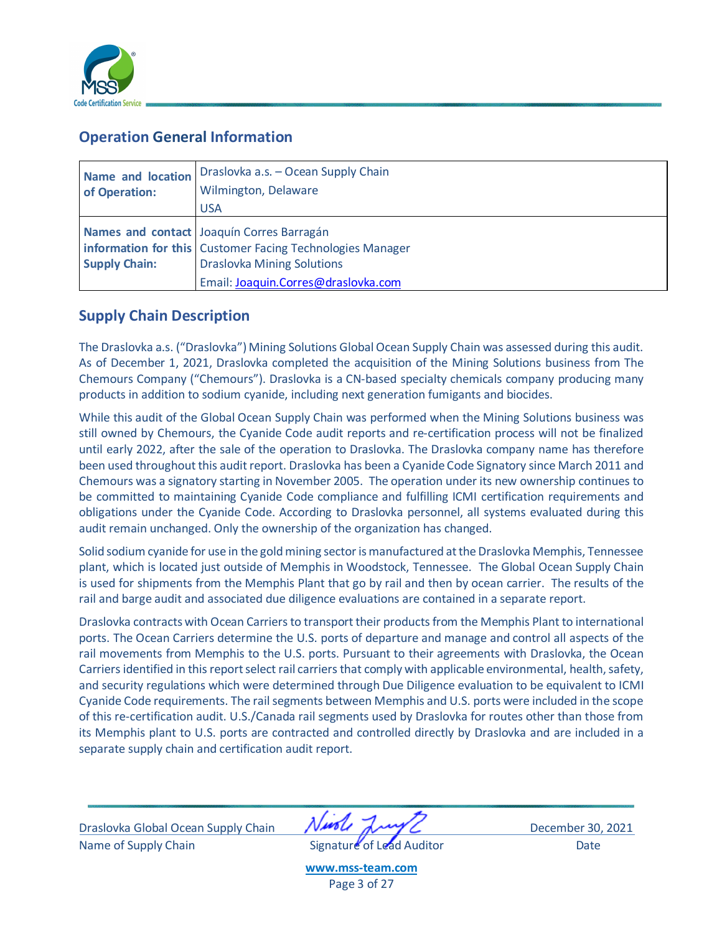

# <span id="page-2-0"></span>**Operation General Information**

| Name and location    | Draslovka a.s. - Ocean Supply Chain                       |
|----------------------|-----------------------------------------------------------|
| of Operation:        | Wilmington, Delaware                                      |
|                      | <b>USA</b>                                                |
|                      | Names and contact Joaquín Corres Barragán                 |
|                      | information for this Customer Facing Technologies Manager |
| <b>Supply Chain:</b> | <b>Draslovka Mining Solutions</b>                         |
|                      | Email: Joaquin.Corres@draslovka.com                       |

# <span id="page-2-1"></span>**Supply Chain Description**

The Draslovka a.s. ("Draslovka") Mining Solutions Global Ocean Supply Chain was assessed during this audit. As of December 1, 2021, Draslovka completed the acquisition of the Mining Solutions business from The Chemours Company ("Chemours"). Draslovka is a CN-based specialty chemicals company producing many products in addition to sodium cyanide, including next generation fumigants and biocides.

While this audit of the Global Ocean Supply Chain was performed when the Mining Solutions business was still owned by Chemours, the Cyanide Code audit reports and re-certification process will not be finalized until early 2022, after the sale of the operation to Draslovka. The Draslovka company name has therefore been used throughout this audit report. Draslovka has been a Cyanide Code Signatory since March 2011 and Chemours was a signatory starting in November 2005. The operation under its new ownership continues to be committed to maintaining Cyanide Code compliance and fulfilling ICMI certification requirements and obligations under the Cyanide Code. According to Draslovka personnel, all systems evaluated during this audit remain unchanged. Only the ownership of the organization has changed.

Solid sodium cyanide for use in the gold mining sector is manufactured at the Draslovka Memphis, Tennessee plant, which is located just outside of Memphis in Woodstock, Tennessee. The Global Ocean Supply Chain is used for shipments from the Memphis Plant that go by rail and then by ocean carrier. The results of the rail and barge audit and associated due diligence evaluations are contained in a separate report.

Draslovka contracts with Ocean Carriers to transport their products from the Memphis Plant to international ports. The Ocean Carriers determine the U.S. ports of departure and manage and control all aspects of the rail movements from Memphis to the U.S. ports. Pursuant to their agreements with Draslovka, the Ocean Carriers identified in this report select rail carriers that comply with applicable environmental, health, safety, and security regulations which were determined through Due Diligence evaluation to be equivalent to ICMI Cyanide Code requirements. The rail segments between Memphis and U.S. ports were included in the scope of this re-certification audit. U.S./Canada rail segments used by Draslovka for routes other than those from its Memphis plant to U.S. ports are contracted and controlled directly by Draslovka and are included in a separate supply chain and certification audit report.

Draslovka Global Ocean Supply Chain **VAC AWA BEACH December 30, 2021** Name of Supply Chain **Signature of Lead Auditor** Date

**[www.mss-team.com](http://www.mss-team.com/)** Page 3 of 27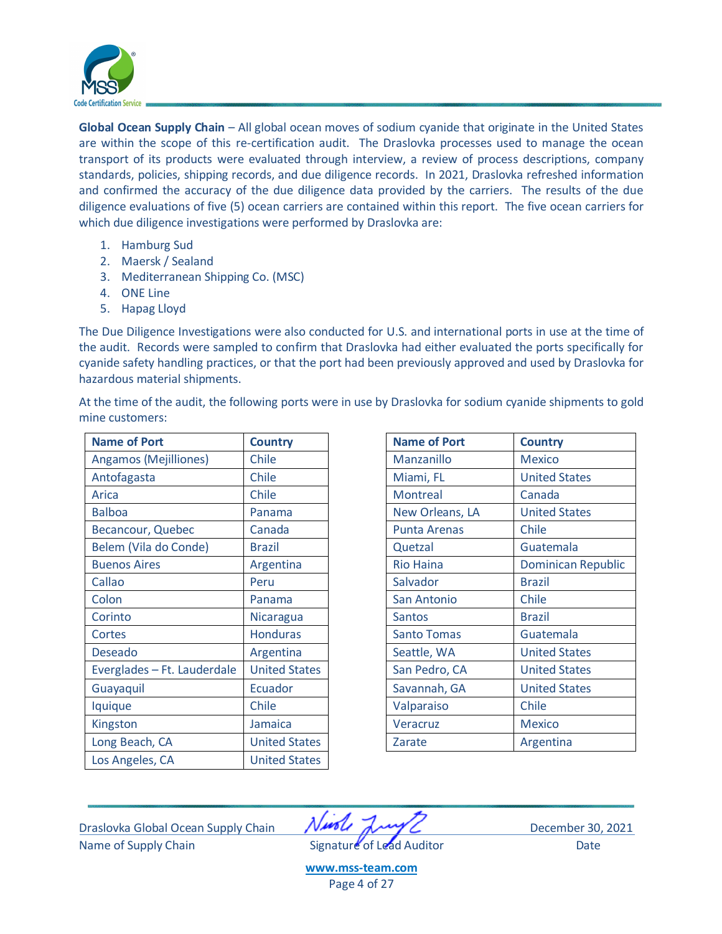

**Global Ocean Supply Chain** – All global ocean moves of sodium cyanide that originate in the United States are within the scope of this re-certification audit. The Draslovka processes used to manage the ocean transport of its products were evaluated through interview, a review of process descriptions, company standards, policies, shipping records, and due diligence records. In 2021, Draslovka refreshed information and confirmed the accuracy of the due diligence data provided by the carriers. The results of the due diligence evaluations of five (5) ocean carriers are contained within this report. The five ocean carriers for which due diligence investigations were performed by Draslovka are:

- 1. Hamburg Sud
- 2. Maersk / Sealand
- 3. Mediterranean Shipping Co. (MSC)
- 4. ONE Line

mine customers:

5. Hapag Lloyd

The Due Diligence Investigations were also conducted for U.S. and international ports in use at the time of the audit. Records were sampled to confirm that Draslovka had either evaluated the ports specifically for cyanide safety handling practices, or that the port had been previously approved and used by Draslovka for hazardous material shipments.

At the time of the audit, the following ports were in use by Draslovka for sodium cyanide shipments to gold

| <b>Name of Port</b>         | <b>Country</b>       | <b>Name of Port</b> | <b>Country</b>       |
|-----------------------------|----------------------|---------------------|----------------------|
| Angamos (Mejilliones)       | Chile                | Manzanillo          | <b>Mexico</b>        |
| Antofagasta                 | Chile                | Miami, FL           | <b>United States</b> |
| Arica                       | Chile                | <b>Montreal</b>     | Canada               |
| <b>Balboa</b>               | Panama               | New Orleans, LA     | <b>United States</b> |
| Becancour, Quebec           | Canada               | <b>Punta Arenas</b> | Chile                |
| Belem (Vila do Conde)       | <b>Brazil</b>        | Quetzal             | Guatemala            |
| <b>Buenos Aires</b>         | Argentina            | <b>Rio Haina</b>    | <b>Dominican Re</b>  |
| Callao                      | Peru                 | Salvador            | <b>Brazil</b>        |
| Colon                       | Panama               | San Antonio         | Chile                |
| Corinto                     | Nicaragua            | <b>Santos</b>       | <b>Brazil</b>        |
| Cortes                      | <b>Honduras</b>      | <b>Santo Tomas</b>  | Guatemala            |
| <b>Deseado</b>              | Argentina            | Seattle, WA         | <b>United States</b> |
| Everglades - Ft. Lauderdale | <b>United States</b> | San Pedro, CA       | <b>United States</b> |
| Guayaquil                   | Ecuador              | Savannah, GA        | <b>United States</b> |
| lquique                     | Chile                | Valparaiso          | Chile                |
| Kingston                    | Jamaica              | Veracruz            | <b>Mexico</b>        |
| Long Beach, CA              | <b>United States</b> | Zarate              | Argentina            |
| Los Angeles, CA             | <b>United States</b> |                     |                      |

| <b>Country</b>       | <b>Name of Port</b> | <b>Country</b>            |
|----------------------|---------------------|---------------------------|
| Chile                | Manzanillo          | <b>Mexico</b>             |
| Chile                | Miami, FL           | <b>United States</b>      |
| Chile                | Montreal            | Canada                    |
| Panama               | New Orleans, LA     | <b>United States</b>      |
| Canada               | <b>Punta Arenas</b> | Chile                     |
| <b>Brazil</b>        | Quetzal             | Guatemala                 |
| Argentina            | <b>Rio Haina</b>    | <b>Dominican Republic</b> |
| Peru                 | Salvador            | <b>Brazil</b>             |
| Panama               | San Antonio         | Chile                     |
| Nicaragua            | <b>Santos</b>       | <b>Brazil</b>             |
| <b>Honduras</b>      | <b>Santo Tomas</b>  | Guatemala                 |
| Argentina            | Seattle, WA         | <b>United States</b>      |
| <b>United States</b> | San Pedro, CA       | <b>United States</b>      |
| Ecuador              | Savannah, GA        | <b>United States</b>      |
| Chile                | Valparaiso          | Chile                     |
| Jamaica              | Veracruz            | <b>Mexico</b>             |
| <b>United States</b> | Zarate              | Argentina                 |
|                      |                     |                           |

Draslovka Global Ocean Supply Chain December 30, 2021 Name of Supply Chain **Signature of Lead Auditor** Date

**[www.mss-team.com](http://www.mss-team.com/)**

Page 4 of 27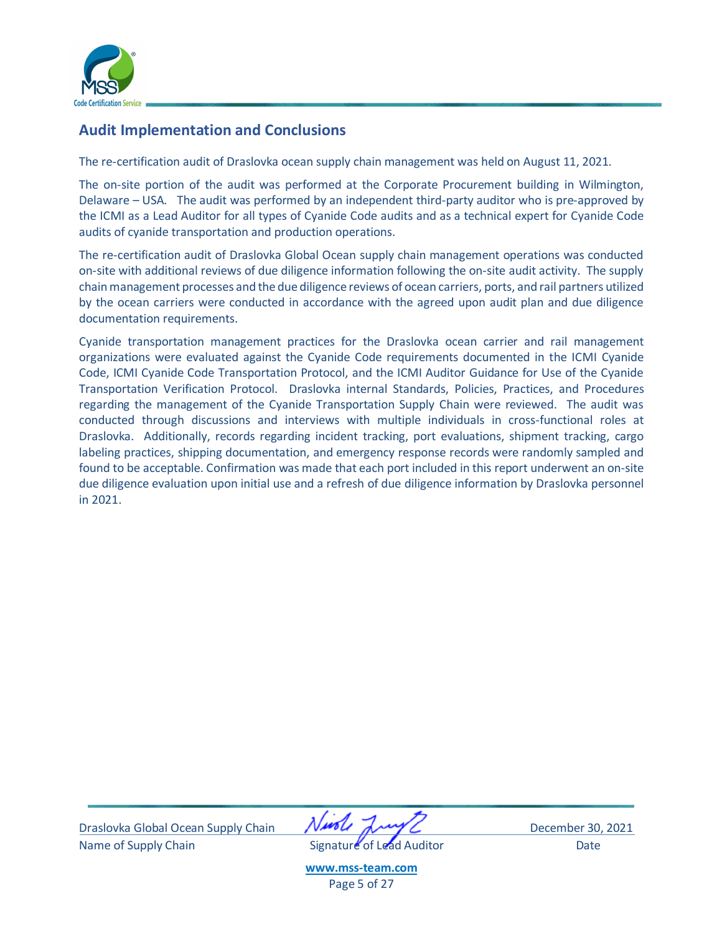

# <span id="page-4-0"></span>**Audit Implementation and Conclusions**

The re-certification audit of Draslovka ocean supply chain management was held on August 11, 2021.

The on-site portion of the audit was performed at the Corporate Procurement building in Wilmington, Delaware – USA. The audit was performed by an independent third-party auditor who is pre-approved by the ICMI as a Lead Auditor for all types of Cyanide Code audits and as a technical expert for Cyanide Code audits of cyanide transportation and production operations.

The re-certification audit of Draslovka Global Ocean supply chain management operations was conducted on-site with additional reviews of due diligence information following the on-site audit activity. The supply chain management processes and the due diligence reviews of ocean carriers, ports, and rail partners utilized by the ocean carriers were conducted in accordance with the agreed upon audit plan and due diligence documentation requirements.

Cyanide transportation management practices for the Draslovka ocean carrier and rail management organizations were evaluated against the Cyanide Code requirements documented in the ICMI Cyanide Code, ICMI Cyanide Code Transportation Protocol, and the ICMI Auditor Guidance for Use of the Cyanide Transportation Verification Protocol. Draslovka internal Standards, Policies, Practices, and Procedures regarding the management of the Cyanide Transportation Supply Chain were reviewed. The audit was conducted through discussions and interviews with multiple individuals in cross-functional roles at Draslovka. Additionally, records regarding incident tracking, port evaluations, shipment tracking, cargo labeling practices, shipping documentation, and emergency response records were randomly sampled and found to be acceptable. Confirmation was made that each port included in this report underwent an on-site due diligence evaluation upon initial use and a refresh of due diligence information by Draslovka personnel in 2021.

Draslovka Global Ocean Supply Chain **VAC AWA BEACH December 30, 2021** Name of Supply Chain **Signature** of Lead Auditor **Signature** of Lead Auditor **Contains Club** 

**[www.mss-team.com](http://www.mss-team.com/)** Page 5 of 27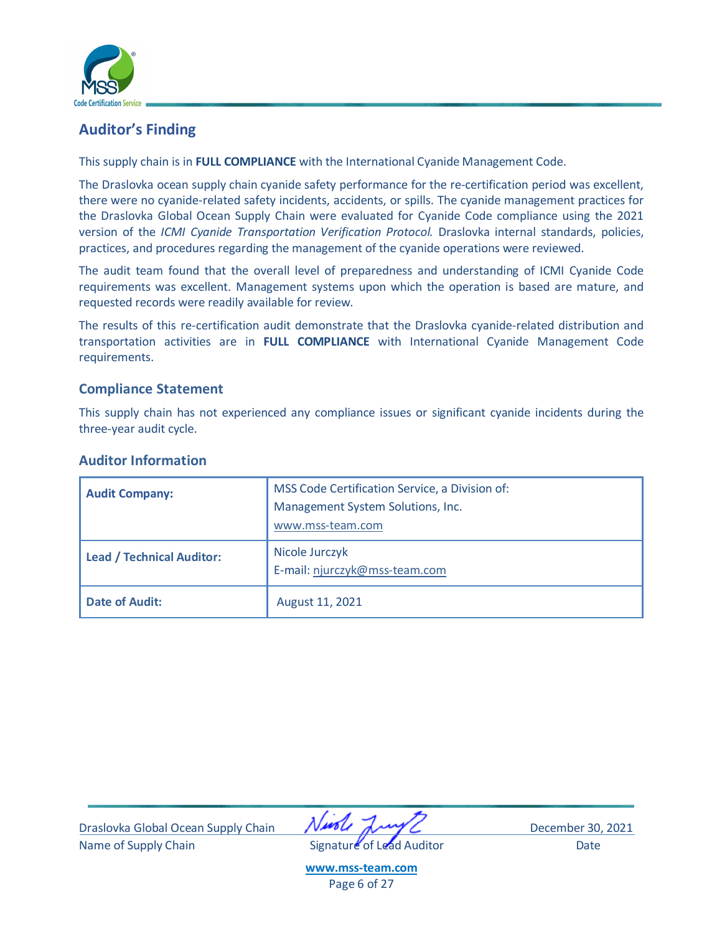

# <span id="page-5-0"></span>**Auditor's Finding**

This supply chain is in **FULL COMPLIANCE** with the International Cyanide Management Code.

The Draslovka ocean supply chain cyanide safety performance for the re-certification period was excellent, there were no cyanide-related safety incidents, accidents, or spills. The cyanide management practices for the Draslovka Global Ocean Supply Chain were evaluated for Cyanide Code compliance using the 2021 version of the *ICMI Cyanide Transportation Verification Protocol.* Draslovka internal standards, policies, practices, and procedures regarding the management of the cyanide operations were reviewed.

The audit team found that the overall level of preparedness and understanding of ICMI Cyanide Code requirements was excellent. Management systems upon which the operation is based are mature, and requested records were readily available for review.

The results of this re-certification audit demonstrate that the Draslovka cyanide-related distribution and transportation activities are in **FULL COMPLIANCE** with International Cyanide Management Code requirements.

## <span id="page-5-1"></span>**Compliance Statement**

This supply chain has not experienced any compliance issues or significant cyanide incidents during the three-year audit cycle.

## <span id="page-5-2"></span>**Auditor Information**

| <b>Audit Company:</b>            | MSS Code Certification Service, a Division of:<br>Management System Solutions, Inc.<br>www.mss-team.com |
|----------------------------------|---------------------------------------------------------------------------------------------------------|
| <b>Lead / Technical Auditor:</b> | Nicole Jurczyk<br>E-mail: njurczyk@mss-team.com                                                         |
| <b>Date of Audit:</b>            | August 11, 2021                                                                                         |

Draslovka Global Ocean Supply Chain **NAPA AND CONTROL** December 30, 2021 Name of Supply Chain **Signature** of Lead Auditor Date

**[www.mss-team.com](http://www.mss-team.com/)** Page 6 of 27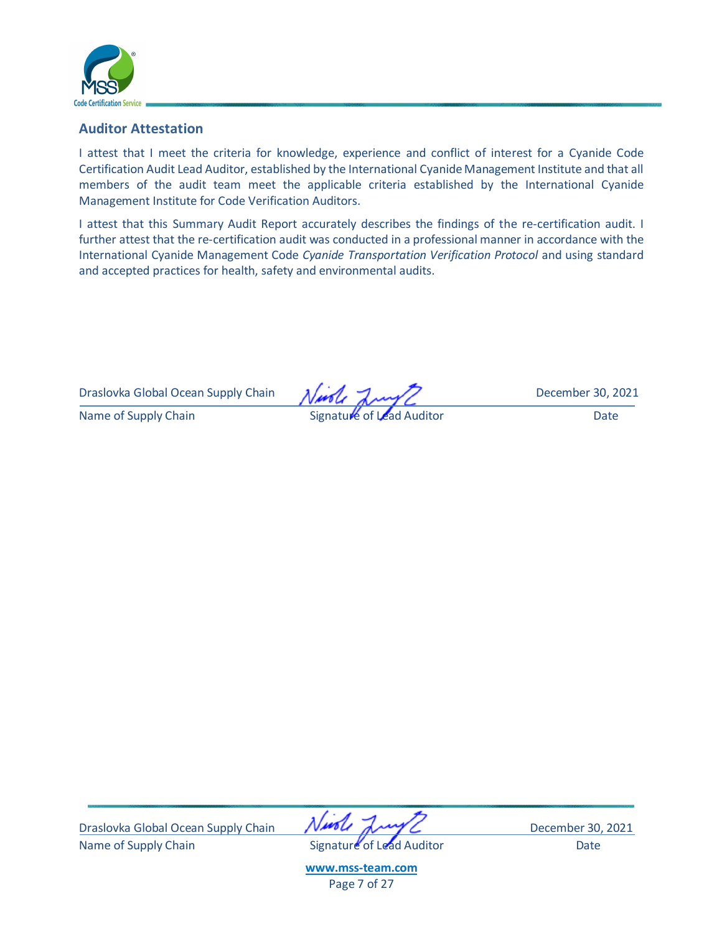

## <span id="page-6-0"></span>**Auditor Attestation**

I attest that I meet the criteria for knowledge, experience and conflict of interest for a Cyanide Code Certification Audit Lead Auditor, established by the International Cyanide Management Institute and that all members of the audit team meet the applicable criteria established by the International Cyanide Management Institute for Code Verification Auditors.

I attest that this Summary Audit Report accurately describes the findings of the re-certification audit. I further attest that the re-certification audit was conducted in a professional manner in accordance with the International Cyanide Management Code *Cyanide Transportation Verification Protocol* and using standard and accepted practices for health, safety and environmental audits.

Draslovka Global Ocean Supply Chain  $\lambda/\mu$ ,  $\lambda$ 

Name of Supply Chain **Signature of Lead Auditor** Signature of Lead Auditor **Canada Auditor** Date

Draslovka Global Ocean Supply Chain **VAC AWA BEACH December 30, 2021** Name of Supply Chain **Signature** of Lead Auditor Date

**[www.mss-team.com](http://www.mss-team.com/)** Page 7 of 27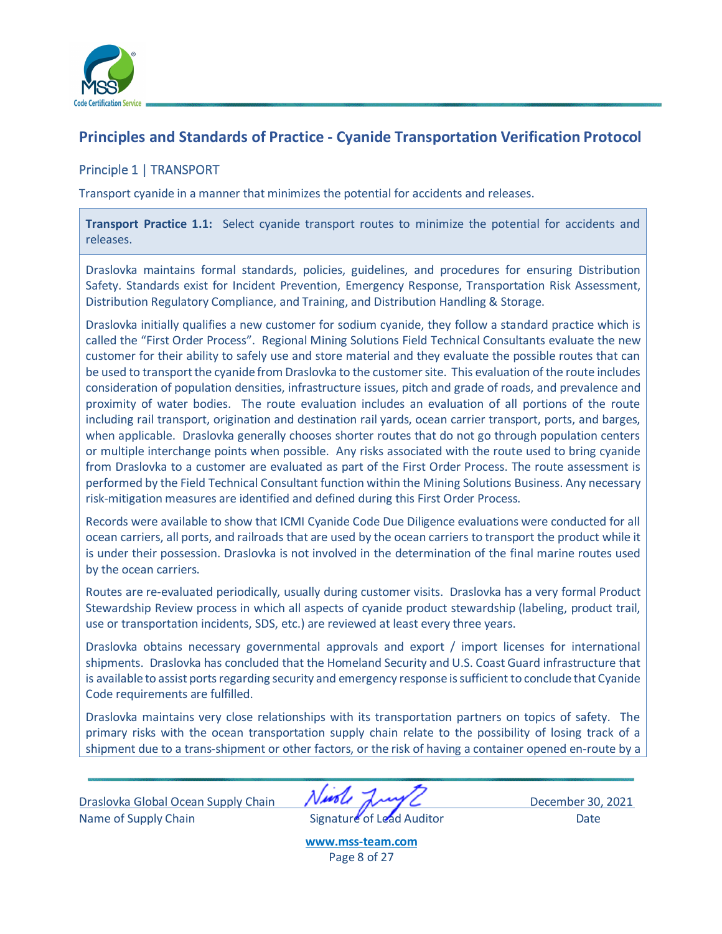

# <span id="page-7-0"></span>**Principles and Standards of Practice - Cyanide Transportation Verification Protocol**

## <span id="page-7-1"></span>Principle 1 | TRANSPORT

Transport cyanide in a manner that minimizes the potential for accidents and releases.

**Transport Practice 1.1:** Select cyanide transport routes to minimize the potential for accidents and releases.

Draslovka maintains formal standards, policies, guidelines, and procedures for ensuring Distribution Safety. Standards exist for Incident Prevention, Emergency Response, Transportation Risk Assessment, Distribution Regulatory Compliance, and Training, and Distribution Handling & Storage.

Draslovka initially qualifies a new customer for sodium cyanide, they follow a standard practice which is called the "First Order Process". Regional Mining Solutions Field Technical Consultants evaluate the new customer for their ability to safely use and store material and they evaluate the possible routes that can be used to transport the cyanide from Draslovka to the customer site. This evaluation of the route includes consideration of population densities, infrastructure issues, pitch and grade of roads, and prevalence and proximity of water bodies. The route evaluation includes an evaluation of all portions of the route including rail transport, origination and destination rail yards, ocean carrier transport, ports, and barges, when applicable. Draslovka generally chooses shorter routes that do not go through population centers or multiple interchange points when possible. Any risks associated with the route used to bring cyanide from Draslovka to a customer are evaluated as part of the First Order Process. The route assessment is performed by the Field Technical Consultant function within the Mining Solutions Business. Any necessary risk-mitigation measures are identified and defined during this First Order Process.

Records were available to show that ICMI Cyanide Code Due Diligence evaluations were conducted for all ocean carriers, all ports, and railroads that are used by the ocean carriers to transport the product while it is under their possession. Draslovka is not involved in the determination of the final marine routes used by the ocean carriers.

Routes are re-evaluated periodically, usually during customer visits. Draslovka has a very formal Product Stewardship Review process in which all aspects of cyanide product stewardship (labeling, product trail, use or transportation incidents, SDS, etc.) are reviewed at least every three years.

Draslovka obtains necessary governmental approvals and export / import licenses for international shipments. Draslovka has concluded that the Homeland Security and U.S. Coast Guard infrastructure that is available to assist ports regarding security and emergency response is sufficient to conclude that Cyanide Code requirements are fulfilled.

Draslovka maintains very close relationships with its transportation partners on topics of safety. The primary risks with the ocean transportation supply chain relate to the possibility of losing track of a shipment due to a trans-shipment or other factors, or the risk of having a container opened en-route by a

Draslovka Global Ocean Supply Chain **NAPA AND CONTROL** December 30, 2021 Name of Supply Chain **Signature of Lead Auditor** Date

**[www.mss-team.com](http://www.mss-team.com/)** Page 8 of 27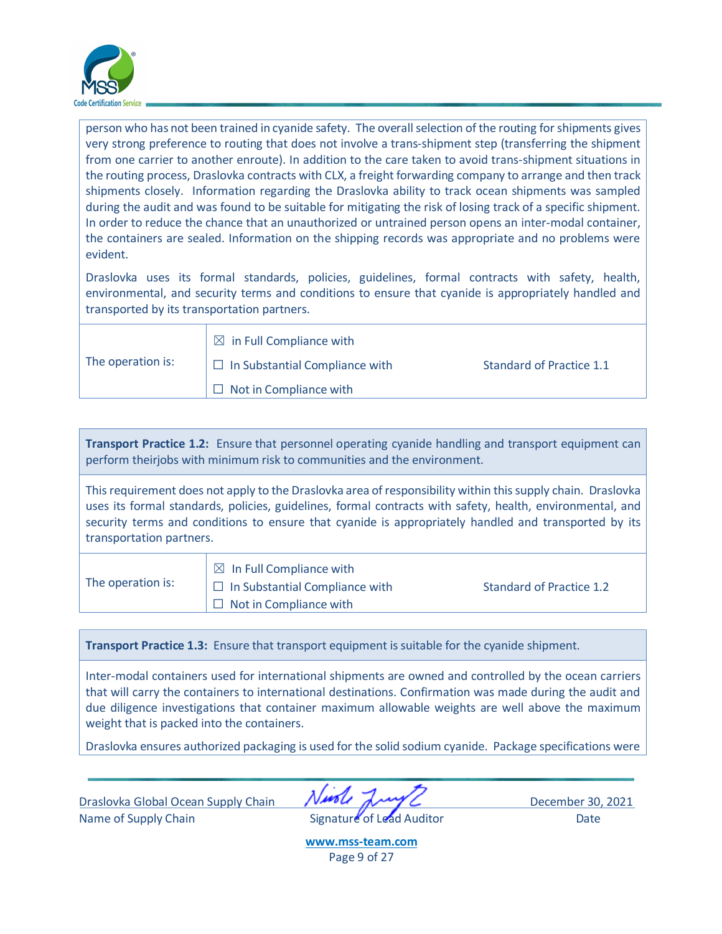

person who has not been trained in cyanide safety. The overall selection of the routing for shipments gives very strong preference to routing that does not involve a trans-shipment step (transferring the shipment from one carrier to another enroute). In addition to the care taken to avoid trans-shipment situations in the routing process, Draslovka contracts with CLX, a freight forwarding company to arrange and then track shipments closely. Information regarding the Draslovka ability to track ocean shipments was sampled during the audit and was found to be suitable for mitigating the risk of losing track of a specific shipment. In order to reduce the chance that an unauthorized or untrained person opens an inter-modal container, the containers are sealed. Information on the shipping records was appropriate and no problems were evident.

Draslovka uses its formal standards, policies, guidelines, formal contracts with safety, health, environmental, and security terms and conditions to ensure that cyanide is appropriately handled and transported by its transportation partners.

|                   | $\boxtimes$ in Full Compliance with   |                          |
|-------------------|---------------------------------------|--------------------------|
| The operation is: | $\Box$ In Substantial Compliance with | Standard of Practice 1.1 |
|                   | $\Box$ Not in Compliance with         |                          |

**Transport Practice 1.2:** Ensure that personnel operating cyanide handling and transport equipment can perform theirjobs with minimum risk to communities and the environment.

This requirement does not apply to the Draslovka area of responsibility within this supply chain. Draslovka uses its formal standards, policies, guidelines, formal contracts with safety, health, environmental, and security terms and conditions to ensure that cyanide is appropriately handled and transported by its transportation partners.

| The operation is: | $\boxtimes$ In Full Compliance with                                    |                          |
|-------------------|------------------------------------------------------------------------|--------------------------|
|                   | $\Box$ In Substantial Compliance with<br>$\Box$ Not in Compliance with | Standard of Practice 1.2 |

**Transport Practice 1.3:** Ensure that transport equipment issuitable for the cyanide shipment.

Inter-modal containers used for international shipments are owned and controlled by the ocean carriers that will carry the containers to international destinations. Confirmation was made during the audit and due diligence investigations that container maximum allowable weights are well above the maximum weight that is packed into the containers.

Draslovka ensures authorized packaging is used for the solid sodium cyanide. Package specifications were

Draslovka Global Ocean Supply Chain **NAPA AND CONTROL** December 30, 2021 Name of Supply Chain **Signature** of Lead Auditor Date

**[www.mss-team.com](http://www.mss-team.com/)** Page 9 of 27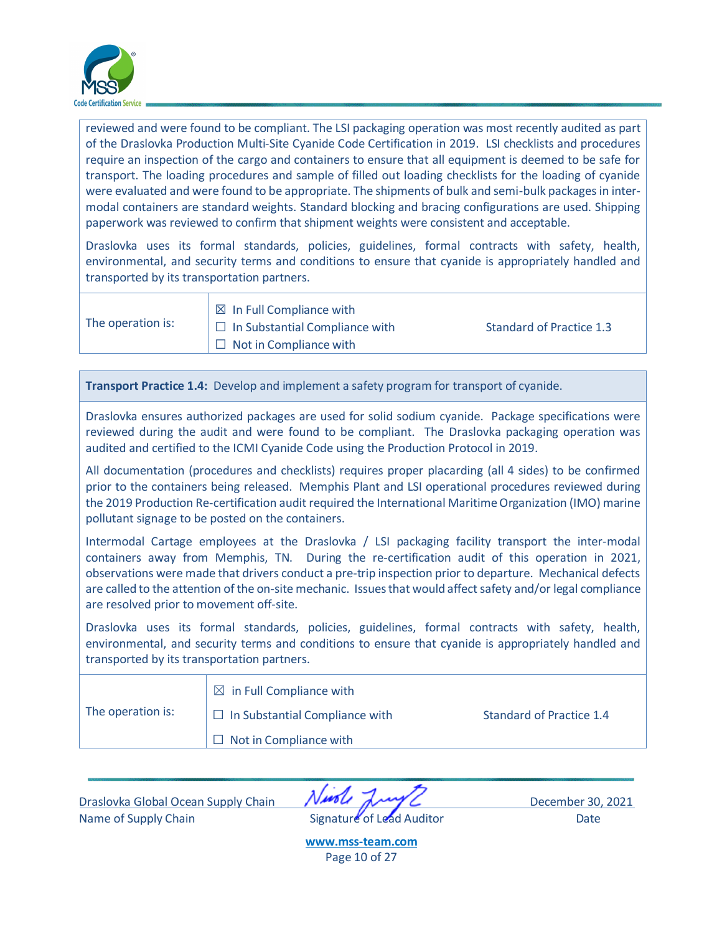

reviewed and were found to be compliant. The LSI packaging operation was most recently audited as part of the Draslovka Production Multi-Site Cyanide Code Certification in 2019. LSI checklists and procedures require an inspection of the cargo and containers to ensure that all equipment is deemed to be safe for transport. The loading procedures and sample of filled out loading checklists for the loading of cyanide were evaluated and were found to be appropriate. The shipments of bulk and semi-bulk packages in intermodal containers are standard weights. Standard blocking and bracing configurations are used. Shipping paperwork was reviewed to confirm that shipment weights were consistent and acceptable.

Draslovka uses its formal standards, policies, guidelines, formal contracts with safety, health, environmental, and security terms and conditions to ensure that cyanide is appropriately handled and transported by its transportation partners.

The operation is:

 $\boxtimes$  In Full Compliance with  $\Box$  In Substantial Compliance with Standard of Practice 1.3  $\Box$  Not in Compliance with

**Transport Practice 1.4:** Develop and implement a safety program for transport of cyanide.

Draslovka ensures authorized packages are used for solid sodium cyanide. Package specifications were reviewed during the audit and were found to be compliant. The Draslovka packaging operation was audited and certified to the ICMI Cyanide Code using the Production Protocol in 2019.

All documentation (procedures and checklists) requires proper placarding (all 4 sides) to be confirmed prior to the containers being released. Memphis Plant and LSI operational procedures reviewed during the 2019 Production Re-certification audit required the International Maritime Organization (IMO) marine pollutant signage to be posted on the containers.

Intermodal Cartage employees at the Draslovka / LSI packaging facility transport the inter-modal containers away from Memphis, TN. During the re-certification audit of this operation in 2021, observations were made that drivers conduct a pre-trip inspection prior to departure. Mechanical defects are called to the attention of the on-site mechanic. Issues that would affect safety and/or legal compliance are resolved prior to movement off-site.

Draslovka uses its formal standards, policies, guidelines, formal contracts with safety, health, environmental, and security terms and conditions to ensure that cyanide is appropriately handled and transported by its transportation partners.

|                   | $\boxtimes$ in Full Compliance with   |                          |
|-------------------|---------------------------------------|--------------------------|
| The operation is: | $\Box$ In Substantial Compliance with | Standard of Practice 1.4 |
|                   | $\Box$ Not in Compliance with         |                          |

Draslovka Global Ocean Supply Chain **NAPA AND CONTROL** December 30, 2021 Name of Supply Chain **Signature of Lead Auditor** Date

**[www.mss-team.com](http://www.mss-team.com/)** Page 10 of 27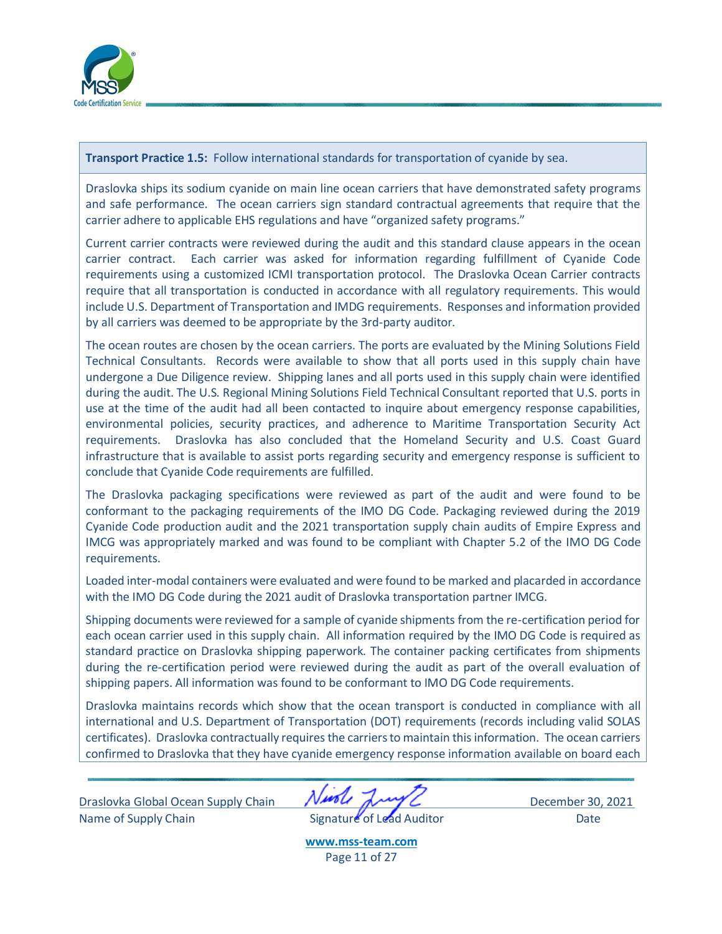

**Transport Practice 1.5:** Follow international standards for transportation of cyanide by sea.

Draslovka ships its sodium cyanide on main line ocean carriers that have demonstrated safety programs and safe performance. The ocean carriers sign standard contractual agreements that require that the carrier adhere to applicable EHS regulations and have "organized safety programs."

Current carrier contracts were reviewed during the audit and this standard clause appears in the ocean carrier contract. Each carrier was asked for information regarding fulfillment of Cyanide Code requirements using a customized ICMI transportation protocol. The Draslovka Ocean Carrier contracts require that all transportation is conducted in accordance with all regulatory requirements. This would include U.S. Department of Transportation and IMDG requirements. Responses and information provided by all carriers was deemed to be appropriate by the 3rd-party auditor.

The ocean routes are chosen by the ocean carriers. The ports are evaluated by the Mining Solutions Field Technical Consultants. Records were available to show that all ports used in this supply chain have undergone a Due Diligence review. Shipping lanes and all ports used in this supply chain were identified during the audit. The U.S. Regional Mining Solutions Field Technical Consultant reported that U.S. ports in use at the time of the audit had all been contacted to inquire about emergency response capabilities, environmental policies, security practices, and adherence to Maritime Transportation Security Act requirements. Draslovka has also concluded that the Homeland Security and U.S. Coast Guard infrastructure that is available to assist ports regarding security and emergency response is sufficient to conclude that Cyanide Code requirements are fulfilled.

The Draslovka packaging specifications were reviewed as part of the audit and were found to be conformant to the packaging requirements of the IMO DG Code. Packaging reviewed during the 2019 Cyanide Code production audit and the 2021 transportation supply chain audits of Empire Express and IMCG was appropriately marked and was found to be compliant with Chapter 5.2 of the IMO DG Code requirements.

Loaded inter-modal containers were evaluated and were found to be marked and placarded in accordance with the IMO DG Code during the 2021 audit of Draslovka transportation partner IMCG.

Shipping documents were reviewed for a sample of cyanide shipments from the re-certification period for each ocean carrier used in this supply chain. All information required by the IMO DG Code is required as standard practice on Draslovka shipping paperwork. The container packing certificates from shipments during the re-certification period were reviewed during the audit as part of the overall evaluation of shipping papers. All information was found to be conformant to IMO DG Code requirements.

Draslovka maintains records which show that the ocean transport is conducted in compliance with all international and U.S. Department of Transportation (DOT) requirements (records including valid SOLAS certificates). Draslovka contractually requires the carriers to maintain this information. The ocean carriers confirmed to Draslovka that they have cyanide emergency response information available on board each

Draslovka Global Ocean Supply Chain **NAPPL** December 30, 2021 Name of Supply Chain **Signature** of Lead Auditor Date

**[www.mss-team.com](http://www.mss-team.com/)** Page 11 of 27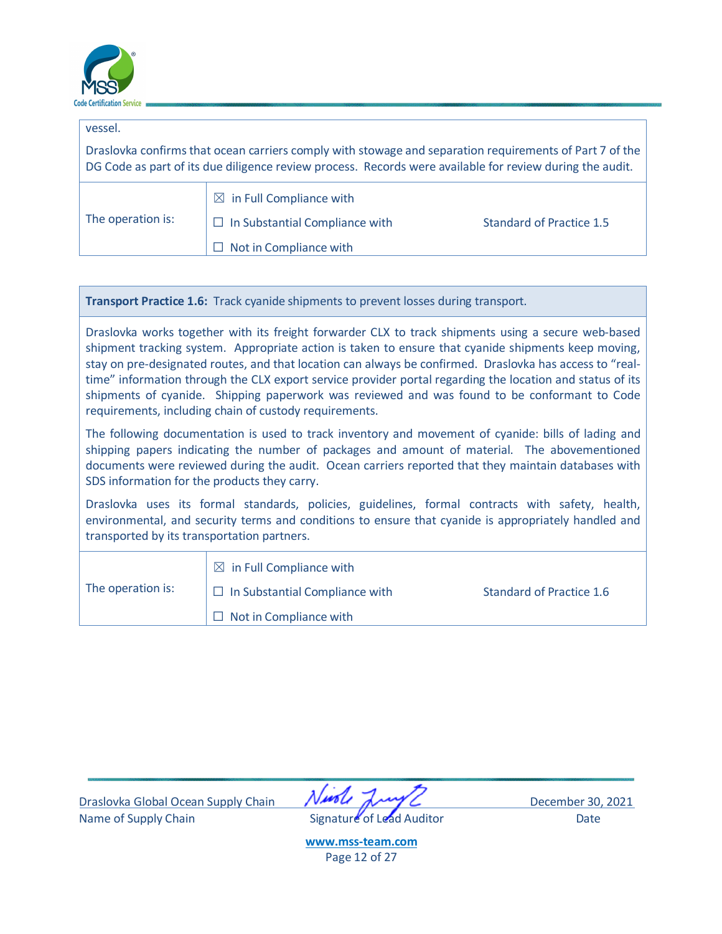

| vessel.           |                                                                                                                                                                                                                     |                                 |
|-------------------|---------------------------------------------------------------------------------------------------------------------------------------------------------------------------------------------------------------------|---------------------------------|
|                   | Draslovka confirms that ocean carriers comply with stowage and separation requirements of Part 7 of the<br>DG Code as part of its due diligence review process. Records were available for review during the audit. |                                 |
| The operation is: | $\boxtimes$ in Full Compliance with<br>In Substantial Compliance with<br>Not in Compliance with                                                                                                                     | <b>Standard of Practice 1.5</b> |

**Transport Practice 1.6:** Track cyanide shipments to prevent losses during transport.

Draslovka works together with its freight forwarder CLX to track shipments using a secure web-based shipment tracking system. Appropriate action is taken to ensure that cyanide shipments keep moving, stay on pre-designated routes, and that location can always be confirmed. Draslovka has access to "realtime" information through the CLX export service provider portal regarding the location and status of its shipments of cyanide. Shipping paperwork was reviewed and was found to be conformant to Code requirements, including chain of custody requirements.

The following documentation is used to track inventory and movement of cyanide: bills of lading and shipping papers indicating the number of packages and amount of material. The abovementioned documents were reviewed during the audit. Ocean carriers reported that they maintain databases with SDS information for the products they carry.

Draslovka uses its formal standards, policies, guidelines, formal contracts with safety, health, environmental, and security terms and conditions to ensure that cyanide is appropriately handled and transported by its transportation partners.

<span id="page-11-0"></span>

|                   | $\boxtimes$ in Full Compliance with   |                          |
|-------------------|---------------------------------------|--------------------------|
| The operation is: | $\Box$ In Substantial Compliance with | Standard of Practice 1.6 |
|                   | $\Box$ Not in Compliance with         |                          |

Draslovka Global Ocean Supply Chain **NAPA AND CONTROL** December 30, 2021 Name of Supply Chain **Signature** of Lead Auditor Date



**[www.mss-team.com](http://www.mss-team.com/)** Page 12 of 27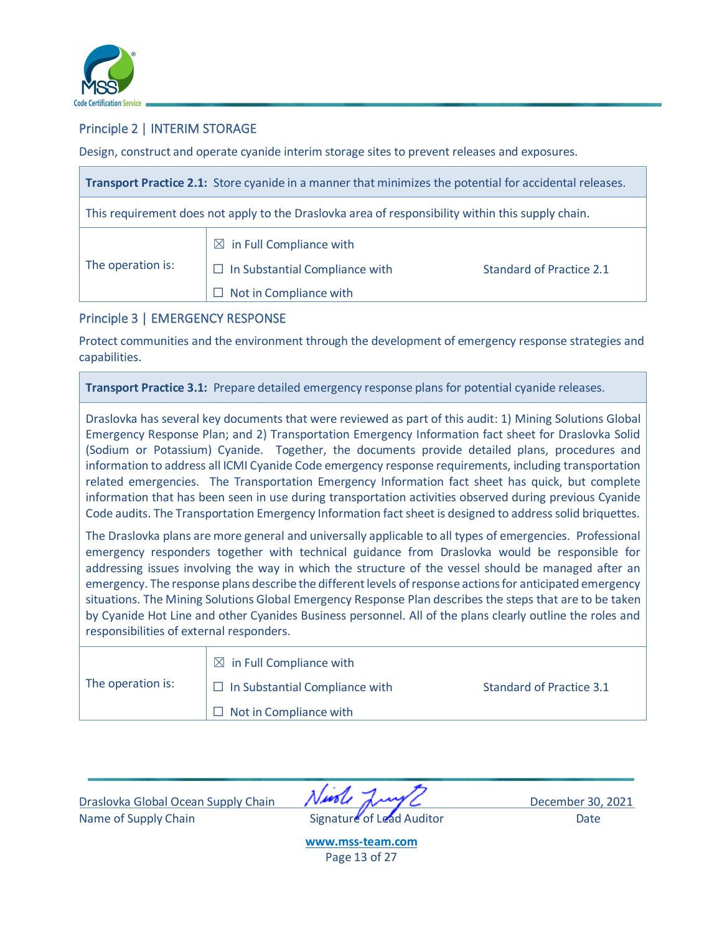

## Principle 2 | INTERIM STORAGE

Design, construct and operate cyanide interim storage sites to prevent releases and exposures.

|                   | Transport Practice 2.1: Store cyanide in a manner that minimizes the potential for accidental releases.     |                          |
|-------------------|-------------------------------------------------------------------------------------------------------------|--------------------------|
|                   | This requirement does not apply to the Draslovka area of responsibility within this supply chain.           |                          |
| The operation is: | $\boxtimes$ in Full Compliance with<br>$\Box$ In Substantial Compliance with<br>Not in Compliance with<br>H | Standard of Practice 2.1 |

## <span id="page-12-0"></span>Principle 3 | EMERGENCY RESPONSE

Protect communities and the environment through the development of emergency response strategies and capabilities.

**Transport Practice 3.1:** Prepare detailed emergency response plans for potential cyanide releases.

Draslovka has several key documents that were reviewed as part of this audit: 1) Mining Solutions Global Emergency Response Plan; and 2) Transportation Emergency Information fact sheet for Draslovka Solid (Sodium or Potassium) Cyanide. Together, the documents provide detailed plans, procedures and information to address all ICMI Cyanide Code emergency response requirements, including transportation related emergencies. The Transportation Emergency Information fact sheet has quick, but complete information that has been seen in use during transportation activities observed during previous Cyanide Code audits. The Transportation Emergency Information fact sheet is designed to address solid briquettes.

The Draslovka plans are more general and universally applicable to all types of emergencies. Professional emergency responders together with technical guidance from Draslovka would be responsible for addressing issues involving the way in which the structure of the vessel should be managed after an emergency. The response plans describe the different levels of response actions for anticipated emergency situations. The Mining Solutions Global Emergency Response Plan describes the steps that are to be taken by Cyanide Hot Line and other Cyanides Business personnel. All of the plans clearly outline the roles and responsibilities of external responders.

|                   | $\boxtimes$ in Full Compliance with   |                          |
|-------------------|---------------------------------------|--------------------------|
| The operation is: | $\Box$ In Substantial Compliance with | Standard of Practice 3.1 |
|                   | $\Box$ Not in Compliance with         |                          |

Draslovka Global Ocean Supply Chain December 30, 2021 Name of Supply Chain **Signature** of Lead Auditor Date

**[www.mss-team.com](http://www.mss-team.com/)** Page 13 of 27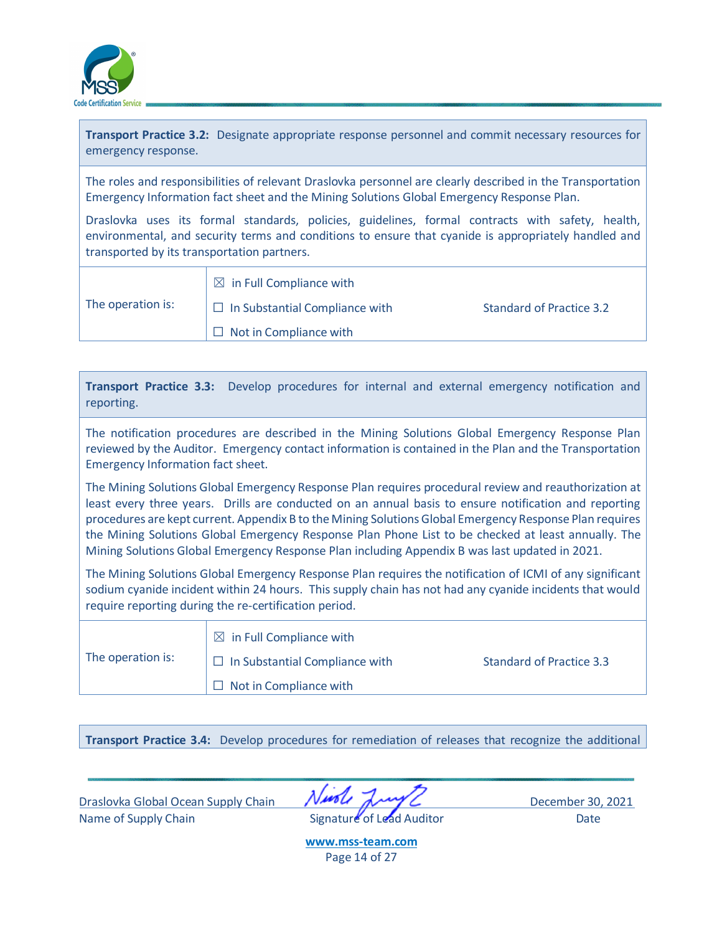

**Transport Practice 3.2:** Designate appropriate response personnel and commit necessary resources for emergency response.

The roles and responsibilities of relevant Draslovka personnel are clearly described in the Transportation Emergency Information fact sheet and the Mining Solutions Global Emergency Response Plan.

Draslovka uses its formal standards, policies, guidelines, formal contracts with safety, health, environmental, and security terms and conditions to ensure that cyanide is appropriately handled and transported by its transportation partners.

|                   | $\boxtimes$ in Full Compliance with   |                          |
|-------------------|---------------------------------------|--------------------------|
| The operation is: | $\Box$ In Substantial Compliance with | Standard of Practice 3.2 |
|                   | $\Box$ Not in Compliance with         |                          |

**Transport Practice 3.3:** Develop procedures for internal and external emergency notification and reporting.

The notification procedures are described in the Mining Solutions Global Emergency Response Plan reviewed by the Auditor. Emergency contact information is contained in the Plan and the Transportation Emergency Information fact sheet.

The Mining Solutions Global Emergency Response Plan requires procedural review and reauthorization at least every three years. Drills are conducted on an annual basis to ensure notification and reporting procedures are kept current. Appendix B to the Mining Solutions Global Emergency Response Plan requires the Mining Solutions Global Emergency Response Plan Phone List to be checked at least annually. The Mining Solutions Global Emergency Response Plan including Appendix B was last updated in 2021.

The Mining Solutions Global Emergency Response Plan requires the notification of ICMI of any significant sodium cyanide incident within 24 hours. This supply chain has not had any cyanide incidents that would require reporting during the re-certification period.

|                   | $\boxtimes$ in Full Compliance with   |                                 |
|-------------------|---------------------------------------|---------------------------------|
| The operation is: | $\Box$ In Substantial Compliance with | <b>Standard of Practice 3.3</b> |
|                   | $\Box$ Not in Compliance with         |                                 |

**Transport Practice 3.4:** Develop procedures for remediation of releases that recognize the additional

Draslovka Global Ocean Supply Chain **NAPPL** December 30, 2021 Name of Supply Chain **Signature** of Lead Auditor Date

**[www.mss-team.com](http://www.mss-team.com/)** Page 14 of 27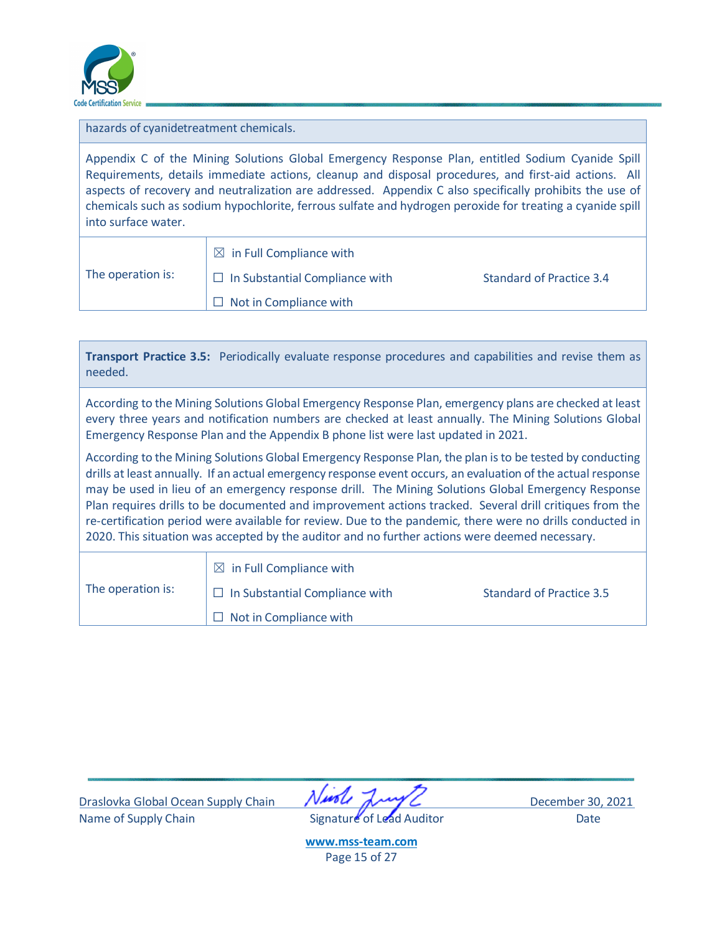

hazards of cyanidetreatment chemicals.

Appendix C of the Mining Solutions Global Emergency Response Plan, entitled Sodium Cyanide Spill Requirements, details immediate actions, cleanup and disposal procedures, and first-aid actions. All aspects of recovery and neutralization are addressed. Appendix C also specifically prohibits the use of chemicals such as sodium hypochlorite, ferrous sulfate and hydrogen peroxide for treating a cyanide spill into surface water.

|                   | $\boxtimes$ in Full Compliance with   |                          |
|-------------------|---------------------------------------|--------------------------|
| The operation is: | $\Box$ In Substantial Compliance with | Standard of Practice 3.4 |
|                   | $\Box$ Not in Compliance with         |                          |

| needed.                                                                                                                                                                                                                                                                                                                                                                                                                                                                                                                                                                                                                                                  | Transport Practice 3.5: Periodically evaluate response procedures and capabilities and revise them as |                                 |  |
|----------------------------------------------------------------------------------------------------------------------------------------------------------------------------------------------------------------------------------------------------------------------------------------------------------------------------------------------------------------------------------------------------------------------------------------------------------------------------------------------------------------------------------------------------------------------------------------------------------------------------------------------------------|-------------------------------------------------------------------------------------------------------|---------------------------------|--|
| According to the Mining Solutions Global Emergency Response Plan, emergency plans are checked at least<br>every three years and notification numbers are checked at least annually. The Mining Solutions Global<br>Emergency Response Plan and the Appendix B phone list were last updated in 2021.                                                                                                                                                                                                                                                                                                                                                      |                                                                                                       |                                 |  |
| According to the Mining Solutions Global Emergency Response Plan, the plan is to be tested by conducting<br>drills at least annually. If an actual emergency response event occurs, an evaluation of the actual response<br>may be used in lieu of an emergency response drill. The Mining Solutions Global Emergency Response<br>Plan requires drills to be documented and improvement actions tracked. Several drill critiques from the<br>re-certification period were available for review. Due to the pandemic, there were no drills conducted in<br>2020. This situation was accepted by the auditor and no further actions were deemed necessary. |                                                                                                       |                                 |  |
| The operation is:                                                                                                                                                                                                                                                                                                                                                                                                                                                                                                                                                                                                                                        | $\boxtimes$ in Full Compliance with<br>In Substantial Compliance with<br>ш<br>Not in Compliance with  | <b>Standard of Practice 3.5</b> |  |

Draslovka Global Ocean Supply Chain **Nurst Any C** December 30, 2021 Name of Supply Chain **Signature** of Lead Auditor Date



**[www.mss-team.com](http://www.mss-team.com/)** Page 15 of 27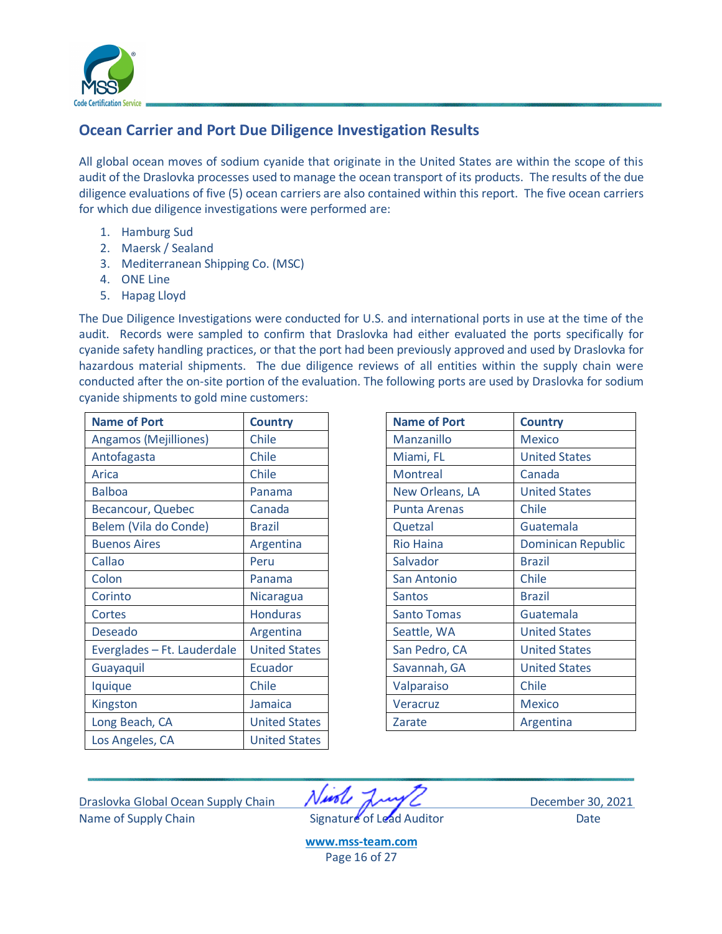

# <span id="page-15-0"></span>**Ocean Carrier and Port Due Diligence Investigation Results**

All global ocean moves of sodium cyanide that originate in the United States are within the scope of this audit of the Draslovka processes used to manage the ocean transport of its products. The results of the due diligence evaluations of five (5) ocean carriers are also contained within this report. The five ocean carriers for which due diligence investigations were performed are:

- 1. Hamburg Sud
- 2. Maersk / Sealand
- 3. Mediterranean Shipping Co. (MSC)
- 4. ONE Line
- 5. Hapag Lloyd

The Due Diligence Investigations were conducted for U.S. and international ports in use at the time of the audit. Records were sampled to confirm that Draslovka had either evaluated the ports specifically for cyanide safety handling practices, or that the port had been previously approved and used by Draslovka for hazardous material shipments. The due diligence reviews of all entities within the supply chain were conducted after the on-site portion of the evaluation. The following ports are used by Draslovka for sodium cyanide shipments to gold mine customers:

| <b>Name of Port</b>         | <b>Country</b>       | <b>Name of Port</b> | <b>Country</b>       |
|-----------------------------|----------------------|---------------------|----------------------|
| Angamos (Mejilliones)       | Chile                | Manzanillo          | <b>Mexico</b>        |
| Antofagasta                 | Chile                | Miami, FL           | <b>United States</b> |
| Arica                       | Chile                | <b>Montreal</b>     | Canada               |
| <b>Balboa</b>               | Panama               | New Orleans, LA     | <b>United States</b> |
| Becancour, Quebec           | Canada               | <b>Punta Arenas</b> | Chile                |
| Belem (Vila do Conde)       | <b>Brazil</b>        | Quetzal             | Guatemala            |
| <b>Buenos Aires</b>         | Argentina            | <b>Rio Haina</b>    | <b>Dominican Re</b>  |
| Callao                      | Peru                 | Salvador            | <b>Brazil</b>        |
| Colon                       | Panama               | San Antonio         | Chile                |
| Corinto                     | Nicaragua            | <b>Santos</b>       | <b>Brazil</b>        |
| Cortes                      | <b>Honduras</b>      | <b>Santo Tomas</b>  | Guatemala            |
| Deseado                     | Argentina            | Seattle, WA         | <b>United States</b> |
| Everglades - Ft. Lauderdale | <b>United States</b> | San Pedro, CA       | <b>United States</b> |
| Guayaquil                   | Ecuador              | Savannah, GA        | <b>United States</b> |
| Iquique                     | Chile                | Valparaiso          | Chile                |
| Kingston                    | Jamaica              | Veracruz            | <b>Mexico</b>        |
| Long Beach, CA              | <b>United States</b> | Zarate              | Argentina            |
| Los Angeles, CA             | <b>United States</b> |                     |                      |

| <b>Name of Port</b>          | <b>Country</b>       | <b>Name of Port</b> | <b>Country</b>            |
|------------------------------|----------------------|---------------------|---------------------------|
| <b>Angamos (Mejilliones)</b> | Chile                | Manzanillo          | <b>Mexico</b>             |
| Antofagasta                  | Chile                | Miami, FL           | <b>United States</b>      |
| Arica                        | Chile                | Montreal            | Canada                    |
| <b>Balboa</b>                | Panama               | New Orleans, LA     | <b>United States</b>      |
| Becancour, Quebec            | Canada               | <b>Punta Arenas</b> | Chile                     |
| Belem (Vila do Conde)        | <b>Brazil</b>        | Quetzal             | Guatemala                 |
| <b>Buenos Aires</b>          | Argentina            | <b>Rio Haina</b>    | <b>Dominican Republic</b> |
| Callao                       | Peru                 | Salvador            | <b>Brazil</b>             |
| Colon                        | Panama               | San Antonio         | Chile                     |
| Corinto                      | Nicaragua            | <b>Santos</b>       | <b>Brazil</b>             |
| Cortes                       | <b>Honduras</b>      | <b>Santo Tomas</b>  | Guatemala                 |
| <b>Deseado</b>               | Argentina            | Seattle, WA         | <b>United States</b>      |
| Everglades - Ft. Lauderdale  | <b>United States</b> | San Pedro, CA       | <b>United States</b>      |
| Guayaquil                    | Ecuador              | Savannah, GA        | <b>United States</b>      |
| Iquique                      | Chile                | Valparaiso          | Chile                     |
| Kingston                     | <b>Jamaica</b>       | Veracruz            | <b>Mexico</b>             |
| Long Beach, CA               | <b>United States</b> | Zarate              | Argentina                 |
|                              |                      |                     |                           |

Draslovka Global Ocean Supply Chain *NMCL* July 2021 Name of Supply Chain **Signature** of Lead Auditor Date

**[www.mss-team.com](http://www.mss-team.com/)** Page 16 of 27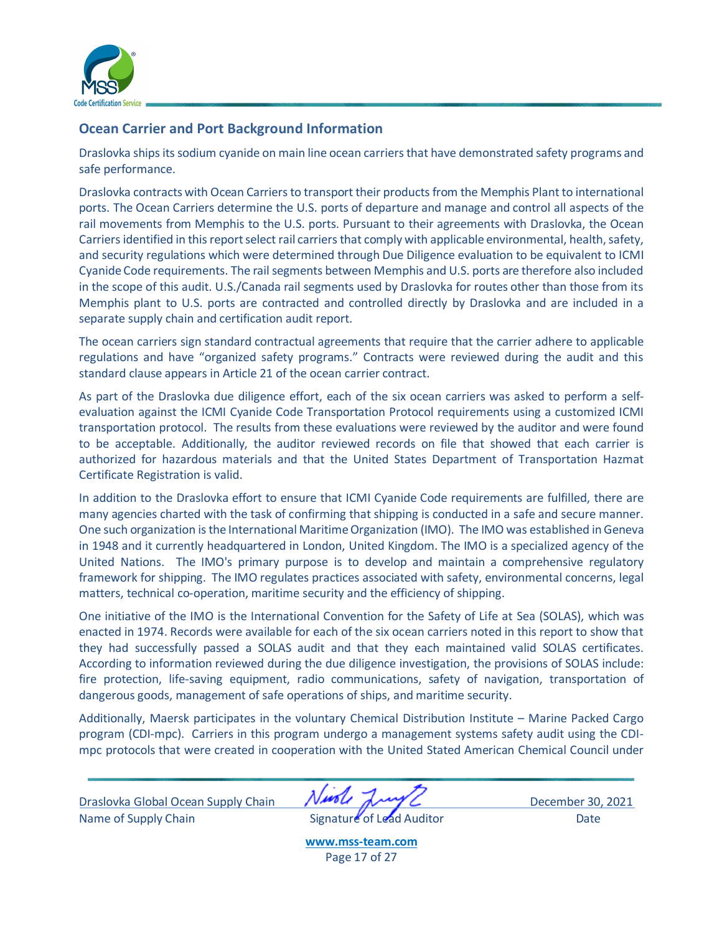

## <span id="page-16-0"></span>**Ocean Carrier and Port Background Information**

Draslovka ships its sodium cyanide on main line ocean carriers that have demonstrated safety programs and safe performance.

Draslovka contracts with Ocean Carriers to transport their products from the Memphis Plant to international ports. The Ocean Carriers determine the U.S. ports of departure and manage and control all aspects of the rail movements from Memphis to the U.S. ports. Pursuant to their agreements with Draslovka, the Ocean Carriers identified in this report select rail carriers that comply with applicable environmental, health, safety, and security regulations which were determined through Due Diligence evaluation to be equivalent to ICMI Cyanide Code requirements. The rail segments between Memphis and U.S. ports are therefore also included in the scope of this audit. U.S./Canada rail segments used by Draslovka for routes other than those from its Memphis plant to U.S. ports are contracted and controlled directly by Draslovka and are included in a separate supply chain and certification audit report.

The ocean carriers sign standard contractual agreements that require that the carrier adhere to applicable regulations and have "organized safety programs." Contracts were reviewed during the audit and this standard clause appears in Article 21 of the ocean carrier contract.

As part of the Draslovka due diligence effort, each of the six ocean carriers was asked to perform a selfevaluation against the ICMI Cyanide Code Transportation Protocol requirements using a customized ICMI transportation protocol. The results from these evaluations were reviewed by the auditor and were found to be acceptable. Additionally, the auditor reviewed records on file that showed that each carrier is authorized for hazardous materials and that the United States Department of Transportation Hazmat Certificate Registration is valid.

In addition to the Draslovka effort to ensure that ICMI Cyanide Code requirements are fulfilled, there are many agencies charted with the task of confirming that shipping is conducted in a safe and secure manner. One such organization is the International Maritime Organization (IMO). The IMO was established in Geneva in 1948 and it currently headquartered in London, United Kingdom. The IMO is a specialized agency of the United Nations. The IMO's primary purpose is to develop and maintain a comprehensive regulatory framework for shipping. The IMO regulates practices associated with safety, environmental concerns, legal matters, technical co-operation, maritime security and the efficiency of shipping.

One initiative of the IMO is the International Convention for the Safety of Life at Sea (SOLAS), which was enacted in 1974. Records were available for each of the six ocean carriers noted in this report to show that they had successfully passed a SOLAS audit and that they each maintained valid SOLAS certificates. According to information reviewed during the due diligence investigation, the provisions of SOLAS include: fire protection, life-saving equipment, radio communications, safety of navigation, transportation of dangerous goods, management of safe operations of ships, and maritime security.

Additionally, Maersk participates in the voluntary Chemical Distribution Institute – Marine Packed Cargo program (CDI-mpc). Carriers in this program undergo a management systems safety audit using the CDImpc protocols that were created in cooperation with the United Stated American Chemical Council under

Draslovka Global Ocean Supply Chain December 30, 2021 Name of Supply Chain **Signature of Lead Auditor** Date

**[www.mss-team.com](http://www.mss-team.com/)** Page 17 of 27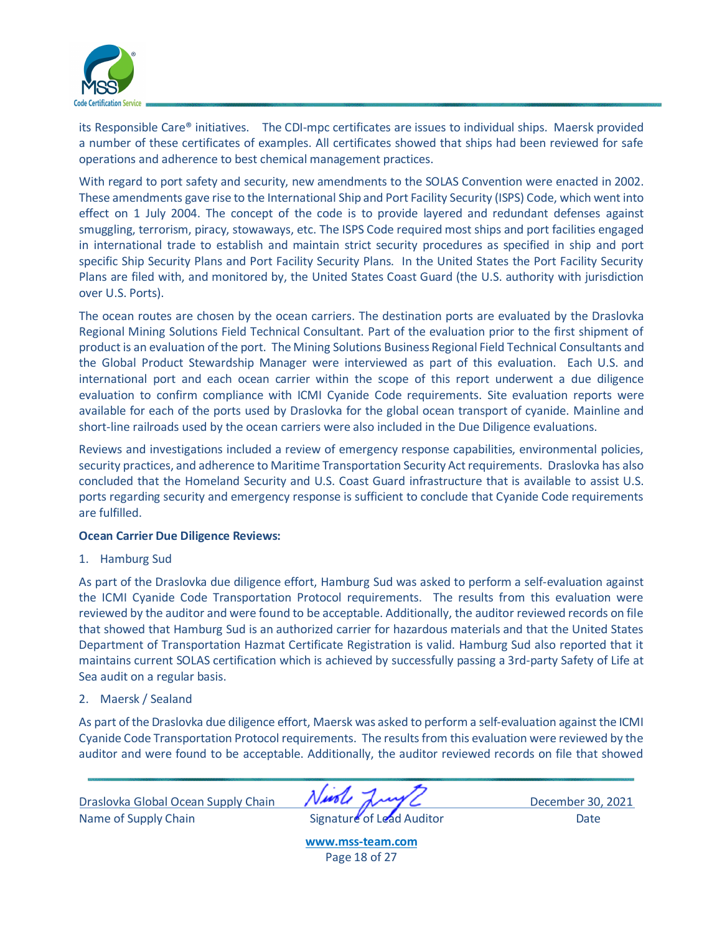

its Responsible Care® initiatives. The CDI-mpc certificates are issues to individual ships. Maersk provided a number of these certificates of examples. All certificates showed that ships had been reviewed for safe operations and adherence to best chemical management practices.

With regard to port safety and security, new amendments to the SOLAS Convention were enacted in 2002. These amendments gave rise to the International Ship and Port Facility Security (ISPS) Code, which went into effect on 1 July 2004. The concept of the code is to provide layered and redundant defenses against smuggling, terrorism, piracy, stowaways, etc. The ISPS Code required most ships and port facilities engaged in international trade to establish and maintain strict security procedures as specified in ship and port specific Ship Security Plans and Port Facility Security Plans. In the United States the Port Facility Security Plans are filed with, and monitored by, the United States Coast Guard (the U.S. authority with jurisdiction over U.S. Ports).

The ocean routes are chosen by the ocean carriers. The destination ports are evaluated by the Draslovka Regional Mining Solutions Field Technical Consultant. Part of the evaluation prior to the first shipment of product is an evaluation of the port. The Mining Solutions Business Regional Field Technical Consultants and the Global Product Stewardship Manager were interviewed as part of this evaluation. Each U.S. and international port and each ocean carrier within the scope of this report underwent a due diligence evaluation to confirm compliance with ICMI Cyanide Code requirements. Site evaluation reports were available for each of the ports used by Draslovka for the global ocean transport of cyanide. Mainline and short-line railroads used by the ocean carriers were also included in the Due Diligence evaluations.

Reviews and investigations included a review of emergency response capabilities, environmental policies, security practices, and adherence to Maritime Transportation Security Act requirements. Draslovka has also concluded that the Homeland Security and U.S. Coast Guard infrastructure that is available to assist U.S. ports regarding security and emergency response is sufficient to conclude that Cyanide Code requirements are fulfilled.

## **Ocean Carrier Due Diligence Reviews:**

1. Hamburg Sud

As part of the Draslovka due diligence effort, Hamburg Sud was asked to perform a self-evaluation against the ICMI Cyanide Code Transportation Protocol requirements. The results from this evaluation were reviewed by the auditor and were found to be acceptable. Additionally, the auditor reviewed records on file that showed that Hamburg Sud is an authorized carrier for hazardous materials and that the United States Department of Transportation Hazmat Certificate Registration is valid. Hamburg Sud also reported that it maintains current SOLAS certification which is achieved by successfully passing a 3rd-party Safety of Life at Sea audit on a regular basis.

#### 2. Maersk / Sealand

As part of the Draslovka due diligence effort, Maersk was asked to perform a self-evaluation against the ICMI Cyanide Code Transportation Protocol requirements. The results from this evaluation were reviewed by the auditor and were found to be acceptable. Additionally, the auditor reviewed records on file that showed

Draslovka Global Ocean Supply Chain December 30, 2021 Name of Supply Chain **Signature of Lead Auditor** Date

**[www.mss-team.com](http://www.mss-team.com/)** Page 18 of 27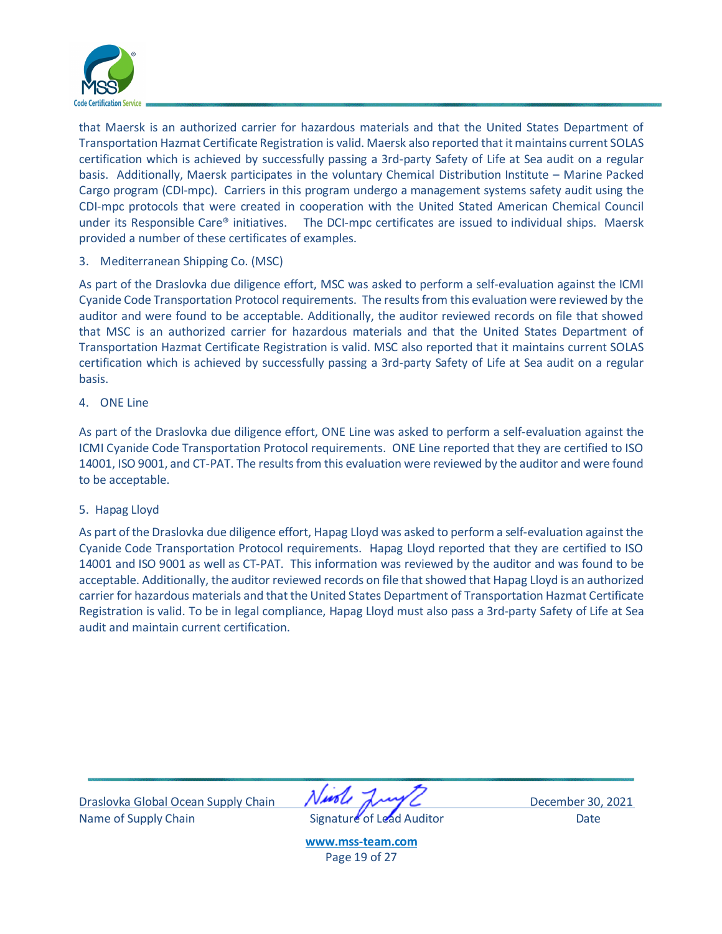

that Maersk is an authorized carrier for hazardous materials and that the United States Department of Transportation Hazmat Certificate Registration is valid. Maersk also reported that it maintains current SOLAS certification which is achieved by successfully passing a 3rd-party Safety of Life at Sea audit on a regular basis. Additionally, Maersk participates in the voluntary Chemical Distribution Institute – Marine Packed Cargo program (CDI-mpc). Carriers in this program undergo a management systems safety audit using the CDI-mpc protocols that were created in cooperation with the United Stated American Chemical Council under its Responsible Care® initiatives. The DCI-mpc certificates are issued to individual ships. Maersk provided a number of these certificates of examples.

3. Mediterranean Shipping Co. (MSC)

As part of the Draslovka due diligence effort, MSC was asked to perform a self-evaluation against the ICMI Cyanide Code Transportation Protocol requirements. The results from this evaluation were reviewed by the auditor and were found to be acceptable. Additionally, the auditor reviewed records on file that showed that MSC is an authorized carrier for hazardous materials and that the United States Department of Transportation Hazmat Certificate Registration is valid. MSC also reported that it maintains current SOLAS certification which is achieved by successfully passing a 3rd-party Safety of Life at Sea audit on a regular basis.

4. ONE Line

As part of the Draslovka due diligence effort, ONE Line was asked to perform a self-evaluation against the ICMI Cyanide Code Transportation Protocol requirements. ONE Line reported that they are certified to ISO 14001, ISO 9001, and CT-PAT. The results from this evaluation were reviewed by the auditor and were found to be acceptable.

5. Hapag Lloyd

As part of the Draslovka due diligence effort, Hapag Lloyd was asked to perform a self-evaluation against the Cyanide Code Transportation Protocol requirements. Hapag Lloyd reported that they are certified to ISO 14001 and ISO 9001 as well as CT-PAT. This information was reviewed by the auditor and was found to be acceptable. Additionally, the auditor reviewed records on file that showed that Hapag Lloyd is an authorized carrier for hazardous materials and that the United States Department of Transportation Hazmat Certificate Registration is valid. To be in legal compliance, Hapag Lloyd must also pass a 3rd-party Safety of Life at Sea audit and maintain current certification.

Draslovka Global Ocean Supply Chain December 30, 2021 Name of Supply Chain **Signature of Lead Auditor** Date



**[www.mss-team.com](http://www.mss-team.com/)** Page 19 of 27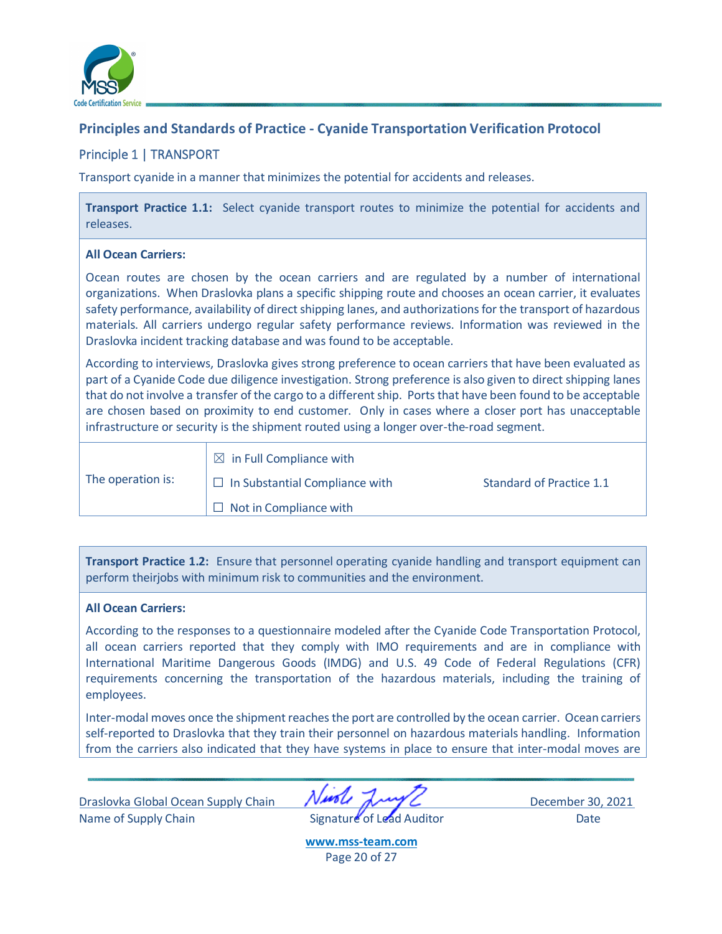

## <span id="page-19-0"></span>**Principles and Standards of Practice - Cyanide Transportation Verification Protocol**

## <span id="page-19-1"></span>Principle 1 | TRANSPORT

Transport cyanide in a manner that minimizes the potential for accidents and releases.

**Transport Practice 1.1:** Select cyanide transport routes to minimize the potential for accidents and releases.

## **All Ocean Carriers:**

Ocean routes are chosen by the ocean carriers and are regulated by a number of international organizations. When Draslovka plans a specific shipping route and chooses an ocean carrier, it evaluates safety performance, availability of direct shipping lanes, and authorizations for the transport of hazardous materials. All carriers undergo regular safety performance reviews. Information was reviewed in the Draslovka incident tracking database and was found to be acceptable.

According to interviews, Draslovka gives strong preference to ocean carriers that have been evaluated as part of a Cyanide Code due diligence investigation. Strong preference is also given to direct shipping lanes that do not involve a transfer of the cargo to a different ship. Ports that have been found to be acceptable are chosen based on proximity to end customer. Only in cases where a closer port has unacceptable infrastructure or security is the shipment routed using a longer over-the-road segment.

|                   | $\boxtimes$ in Full Compliance with   |                          |
|-------------------|---------------------------------------|--------------------------|
| The operation is: | $\Box$ In Substantial Compliance with | Standard of Practice 1.1 |
|                   | $\Box$ Not in Compliance with         |                          |

**Transport Practice 1.2:** Ensure that personnel operating cyanide handling and transport equipment can perform theirjobs with minimum risk to communities and the environment.

## **All Ocean Carriers:**

According to the responses to a questionnaire modeled after the Cyanide Code Transportation Protocol, all ocean carriers reported that they comply with IMO requirements and are in compliance with International Maritime Dangerous Goods (IMDG) and U.S. 49 Code of Federal Regulations (CFR) requirements concerning the transportation of the hazardous materials, including the training of employees.

Inter-modal moves once the shipment reaches the port are controlled by the ocean carrier. Ocean carriers self-reported to Draslovka that they train their personnel on hazardous materials handling. Information from the carriers also indicated that they have systems in place to ensure that inter-modal moves are

Draslovka Global Ocean Supply Chain **NAPA AND CONTROL** December 30, 2021 Name of Supply Chain **Signature** of Lead Auditor Date

**[www.mss-team.com](http://www.mss-team.com/)** Page 20 of 27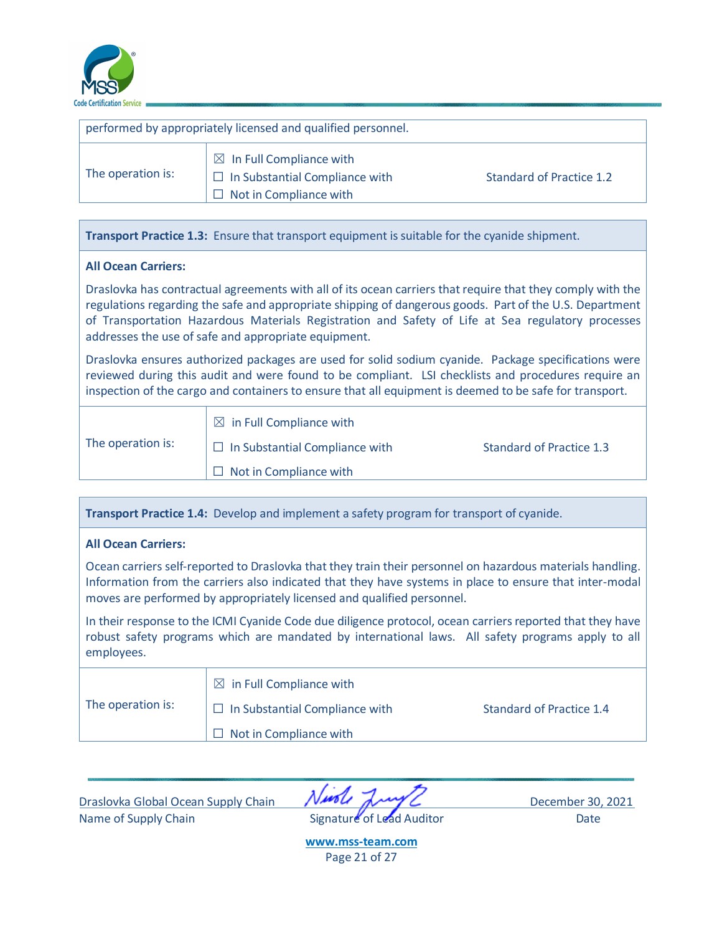

| performed by appropriately licensed and qualified personnel. |                                                                                                               |                          |  |
|--------------------------------------------------------------|---------------------------------------------------------------------------------------------------------------|--------------------------|--|
| The operation is:                                            | $\boxtimes$ In Full Compliance with<br>$\Box$ In Substantial Compliance with<br>$\Box$ Not in Compliance with | Standard of Practice 1.2 |  |

**Transport Practice 1.3:** Ensure that transport equipment issuitable for the cyanide shipment.

## **All Ocean Carriers:**

Draslovka has contractual agreements with all of its ocean carriers that require that they comply with the regulations regarding the safe and appropriate shipping of dangerous goods. Part of the U.S. Department of Transportation Hazardous Materials Registration and Safety of Life at Sea regulatory processes addresses the use of safe and appropriate equipment.

Draslovka ensures authorized packages are used for solid sodium cyanide. Package specifications were reviewed during this audit and were found to be compliant. LSI checklists and procedures require an inspection of the cargo and containers to ensure that all equipment is deemed to be safe for transport.

The operation is:

 $\boxtimes$  in Full Compliance with

 $\Box$  In Substantial Compliance with Standard of Practice 1.3

 $\Box$  Not in Compliance with

| Transport Practice 1.4: Develop and implement a safety program for transport of cyanide.                                                                                                                                                                                                        |
|-------------------------------------------------------------------------------------------------------------------------------------------------------------------------------------------------------------------------------------------------------------------------------------------------|
| <b>All Ocean Carriers:</b>                                                                                                                                                                                                                                                                      |
| Ocean carriers self-reported to Draslovka that they train their personnel on hazardous materials handling.<br>Information from the carriers also indicated that they have systems in place to ensure that inter-modal<br>moves are performed by appropriately licensed and qualified personnel. |
| In their response to the ICMI Cyanide Code due diligence protocol, ocean carriers reported that they have<br>robust safety programs which are mandated by international laws. All safety programs apply to all<br>employees.                                                                    |

|                   | $\boxtimes$ in Full Compliance with   |                          |
|-------------------|---------------------------------------|--------------------------|
| The operation is: | $\Box$ In Substantial Compliance with | Standard of Practice 1.4 |
|                   | $\Box$ Not in Compliance with         |                          |

| Draslovka Global Ocean Supply Chain |  |  |
|-------------------------------------|--|--|
| Name of Supply Chain                |  |  |

December 30, 2021 Signature of Lead Auditor **Chain Signature of Lead Auditor** Date

**[www.mss-team.com](http://www.mss-team.com/)** Page 21 of 27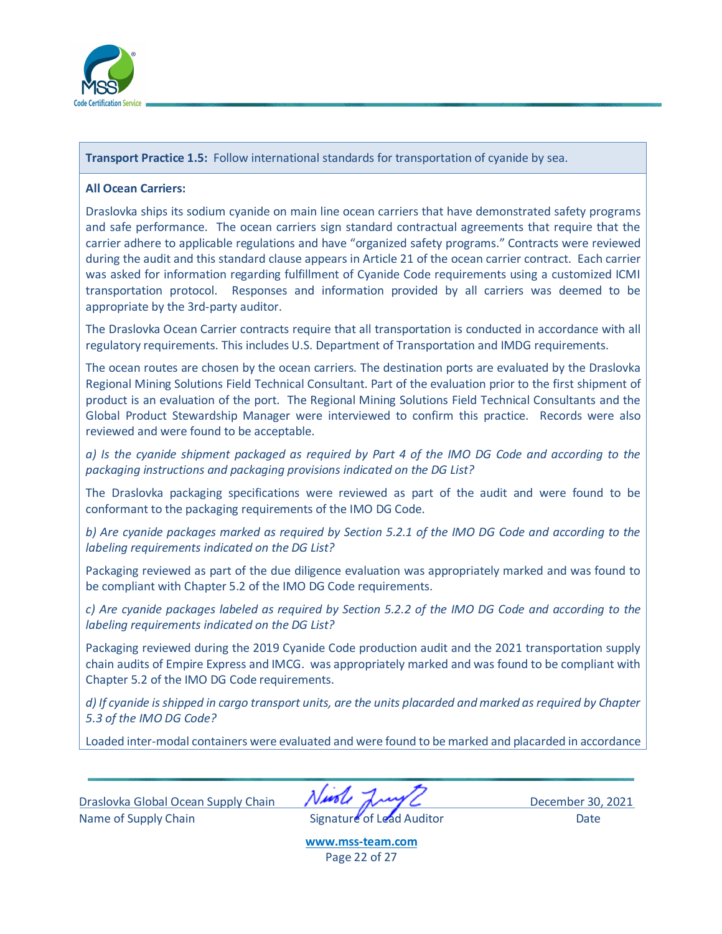

**Transport Practice 1.5:** Follow international standards for transportation of cyanide by sea.

## **All Ocean Carriers:**

Draslovka ships its sodium cyanide on main line ocean carriers that have demonstrated safety programs and safe performance. The ocean carriers sign standard contractual agreements that require that the carrier adhere to applicable regulations and have "organized safety programs." Contracts were reviewed during the audit and this standard clause appears in Article 21 of the ocean carrier contract. Each carrier was asked for information regarding fulfillment of Cyanide Code requirements using a customized ICMI transportation protocol. Responses and information provided by all carriers was deemed to be appropriate by the 3rd-party auditor.

The Draslovka Ocean Carrier contracts require that all transportation is conducted in accordance with all regulatory requirements. This includes U.S. Department of Transportation and IMDG requirements.

The ocean routes are chosen by the ocean carriers. The destination ports are evaluated by the Draslovka Regional Mining Solutions Field Technical Consultant. Part of the evaluation prior to the first shipment of product is an evaluation of the port. The Regional Mining Solutions Field Technical Consultants and the Global Product Stewardship Manager were interviewed to confirm this practice. Records were also reviewed and were found to be acceptable.

*a) Is the cyanide shipment packaged as required by Part 4 of the IMO DG Code and according to the packaging instructions and packaging provisions indicated on the DG List?*

The Draslovka packaging specifications were reviewed as part of the audit and were found to be conformant to the packaging requirements of the IMO DG Code.

*b) Are cyanide packages marked as required by Section 5.2.1 of the IMO DG Code and according to the labeling requirements indicated on the DG List?*

Packaging reviewed as part of the due diligence evaluation was appropriately marked and was found to be compliant with Chapter 5.2 of the IMO DG Code requirements.

*c) Are cyanide packages labeled as required by Section 5.2.2 of the IMO DG Code and according to the labeling requirements indicated on the DG List?*

Packaging reviewed during the 2019 Cyanide Code production audit and the 2021 transportation supply chain audits of Empire Express and IMCG. was appropriately marked and was found to be compliant with Chapter 5.2 of the IMO DG Code requirements.

*d) If cyanide is shipped in cargo transport units, are the units placarded and marked as required by Chapter 5.3 of the IMO DG Code?*

Loaded inter-modal containers were evaluated and were found to be marked and placarded in accordance

Draslovka Global Ocean Supply Chain **NAPPL** December 30, 2021 Name of Supply Chain **Signature of Lead Auditor** Date

**[www.mss-team.com](http://www.mss-team.com/)** Page 22 of 27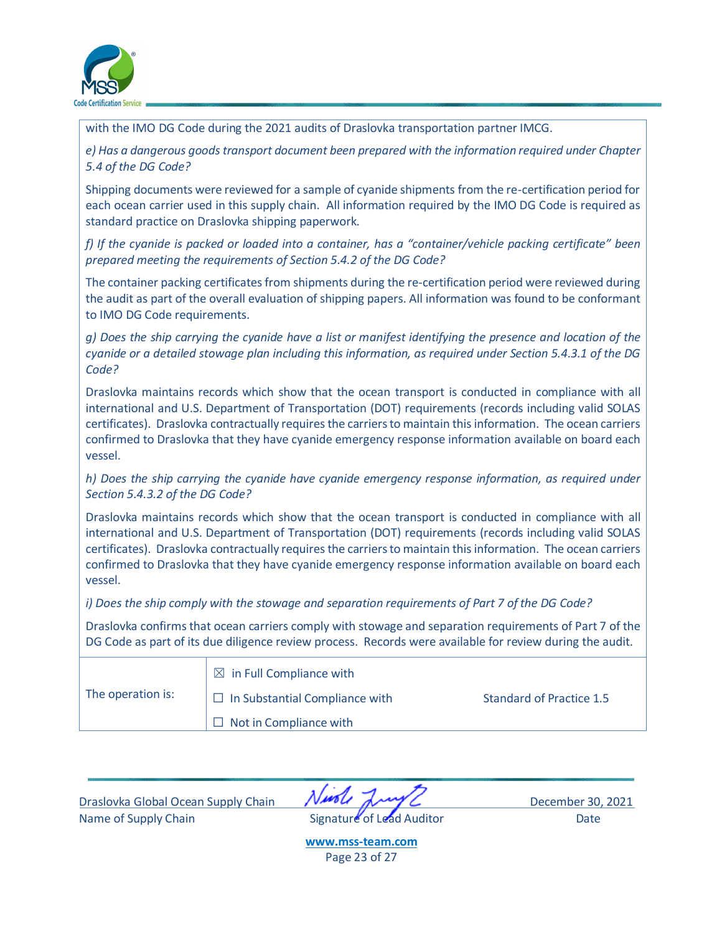

with the IMO DG Code during the 2021 audits of Draslovka transportation partner IMCG.

*e) Has a dangerous goods transport document been prepared with the information required under Chapter 5.4 of the DG Code?*

Shipping documents were reviewed for a sample of cyanide shipments from the re-certification period for each ocean carrier used in this supply chain. All information required by the IMO DG Code is required as standard practice on Draslovka shipping paperwork.

*f) If the cyanide is packed or loaded into a container, has a "container/vehicle packing certificate" been prepared meeting the requirements of Section 5.4.2 of the DG Code?*

The container packing certificates from shipments during the re-certification period were reviewed during the audit as part of the overall evaluation of shipping papers. All information was found to be conformant to IMO DG Code requirements.

*g) Does the ship carrying the cyanide have a list or manifest identifying the presence and location of the cyanide or a detailed stowage plan including this information, as required under Section 5.4.3.1 of the DG Code?*

Draslovka maintains records which show that the ocean transport is conducted in compliance with all international and U.S. Department of Transportation (DOT) requirements (records including valid SOLAS certificates). Draslovka contractually requires the carriers to maintain this information. The ocean carriers confirmed to Draslovka that they have cyanide emergency response information available on board each vessel.

*h) Does the ship carrying the cyanide have cyanide emergency response information, as required under Section 5.4.3.2 of the DG Code?*

Draslovka maintains records which show that the ocean transport is conducted in compliance with all international and U.S. Department of Transportation (DOT) requirements (records including valid SOLAS certificates). Draslovka contractually requires the carriers to maintain this information. The ocean carriers confirmed to Draslovka that they have cyanide emergency response information available on board each vessel.

*i) Does the ship comply with the stowage and separation requirements of Part 7 of the DG Code?*

Draslovka confirms that ocean carriers comply with stowage and separation requirements of Part 7 of the DG Code as part of its due diligence review process. Records were available for review during the audit.

|                   | $\boxtimes$ in Full Compliance with   |                                 |
|-------------------|---------------------------------------|---------------------------------|
| The operation is: | $\Box$ In Substantial Compliance with | <b>Standard of Practice 1.5</b> |
|                   | $\Box$ Not in Compliance with         |                                 |

Draslovka Global Ocean Supply Chain December 30, 2021 Name of Supply Chain **Signature of Lead Auditor** Date

**[www.mss-team.com](http://www.mss-team.com/)** Page 23 of 27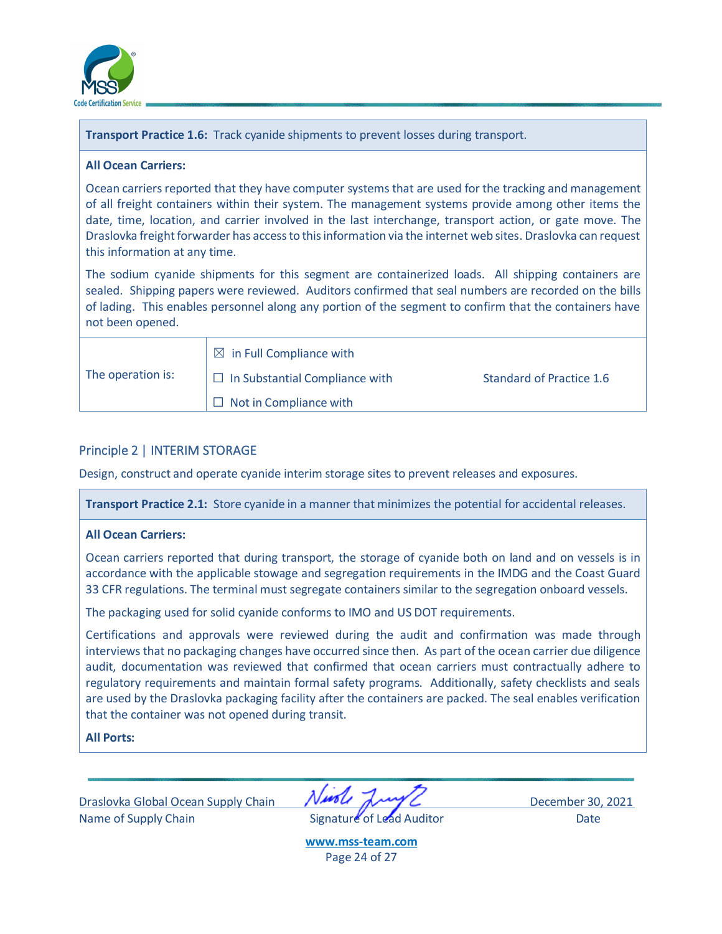

**Transport Practice 1.6:** Track cyanide shipments to prevent losses during transport.

#### **All Ocean Carriers:**

Ocean carriers reported that they have computer systems that are used for the tracking and management of all freight containers within their system. The management systems provide among other items the date, time, location, and carrier involved in the last interchange, transport action, or gate move. The Draslovka freight forwarder has access to this information via the internet web sites. Draslovka can request this information at any time.

The sodium cyanide shipments for this segment are containerized loads. All shipping containers are sealed. Shipping papers were reviewed. Auditors confirmed that seal numbers are recorded on the bills of lading. This enables personnel along any portion of the segment to confirm that the containers have not been opened.

|                   | $\boxtimes$ in Full Compliance with   |                          |
|-------------------|---------------------------------------|--------------------------|
| The operation is: | $\Box$ In Substantial Compliance with | Standard of Practice 1.6 |
|                   | $\Box$ Not in Compliance with         |                          |

## <span id="page-23-0"></span>Principle 2 | INTERIM STORAGE

Design, construct and operate cyanide interim storage sites to prevent releases and exposures.

**Transport Practice 2.1:** Store cyanide in a manner that minimizes the potential for accidental releases.

## **All Ocean Carriers:**

Ocean carriers reported that during transport, the storage of cyanide both on land and on vessels is in accordance with the applicable stowage and segregation requirements in the IMDG and the Coast Guard 33 CFR regulations. The terminal must segregate containers similar to the segregation onboard vessels.

The packaging used for solid cyanide conforms to IMO and US DOT requirements.

Certifications and approvals were reviewed during the audit and confirmation was made through interviews that no packaging changes have occurred since then. As part of the ocean carrier due diligence audit, documentation was reviewed that confirmed that ocean carriers must contractually adhere to regulatory requirements and maintain formal safety programs. Additionally, safety checklists and seals are used by the Draslovka packaging facility after the containers are packed. The seal enables verification that the container was not opened during transit.

## **All Ports:**

Draslovka Global Ocean Supply Chain **NAPA AND CONTROL** December 30, 2021 Name of Supply Chain **Signature of Lead Auditor** Date

**[www.mss-team.com](http://www.mss-team.com/)** Page 24 of 27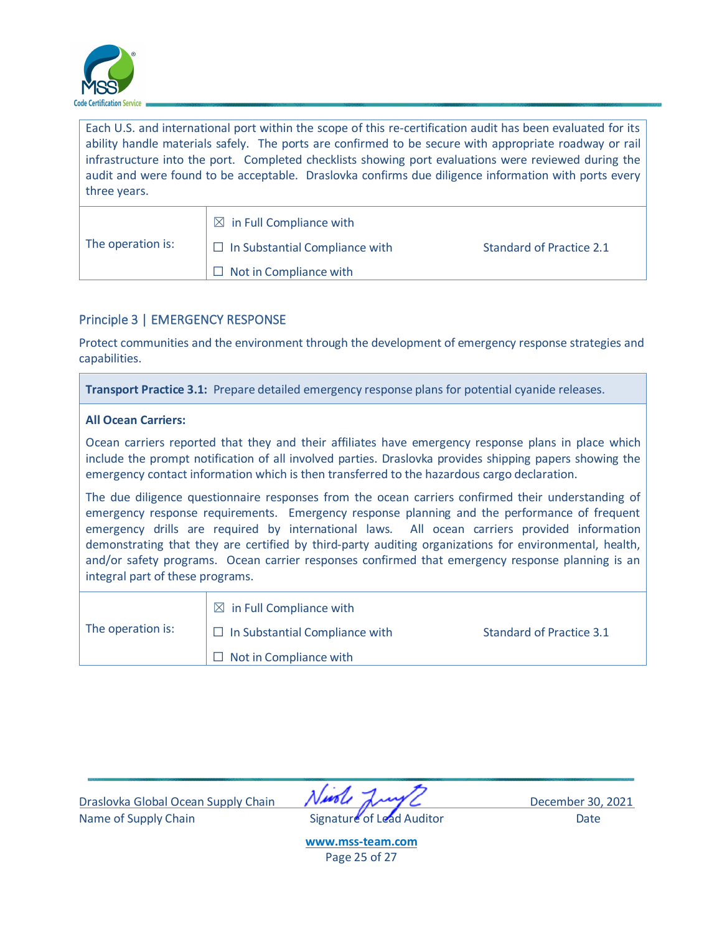

Each U.S. and international port within the scope of this re-certification audit has been evaluated for its ability handle materials safely. The ports are confirmed to be secure with appropriate roadway or rail infrastructure into the port. Completed checklists showing port evaluations were reviewed during the audit and were found to be acceptable. Draslovka confirms due diligence information with ports every three years.

|                   | $\boxtimes$ in Full Compliance with   |                          |  |  |
|-------------------|---------------------------------------|--------------------------|--|--|
| The operation is: | $\Box$ In Substantial Compliance with | Standard of Practice 2.1 |  |  |
|                   | $\Box$ Not in Compliance with         |                          |  |  |

## <span id="page-24-0"></span>Principle 3 | EMERGENCY RESPONSE

Protect communities and the environment through the development of emergency response strategies and capabilities.

**Transport Practice 3.1:** Prepare detailed emergency response plans for potential cyanide releases.

## **All Ocean Carriers:**

Ocean carriers reported that they and their affiliates have emergency response plans in place which include the prompt notification of all involved parties. Draslovka provides shipping papers showing the emergency contact information which is then transferred to the hazardous cargo declaration.

The due diligence questionnaire responses from the ocean carriers confirmed their understanding of emergency response requirements. Emergency response planning and the performance of frequent emergency drills are required by international laws. All ocean carriers provided information demonstrating that they are certified by third-party auditing organizations for environmental, health, and/or safety programs. Ocean carrier responses confirmed that emergency response planning is an integral part of these programs.

|                   | $\boxtimes$ in Full Compliance with   |                          |  |  |
|-------------------|---------------------------------------|--------------------------|--|--|
| The operation is: | $\Box$ In Substantial Compliance with | Standard of Practice 3.1 |  |  |
|                   | $\Box$ Not in Compliance with         |                          |  |  |

Draslovka Global Ocean Supply Chain **NAPA AND CONTROL** December 30, 2021 Name of Supply Chain **Signature** of Lead Auditor Date

**[www.mss-team.com](http://www.mss-team.com/)** Page 25 of 27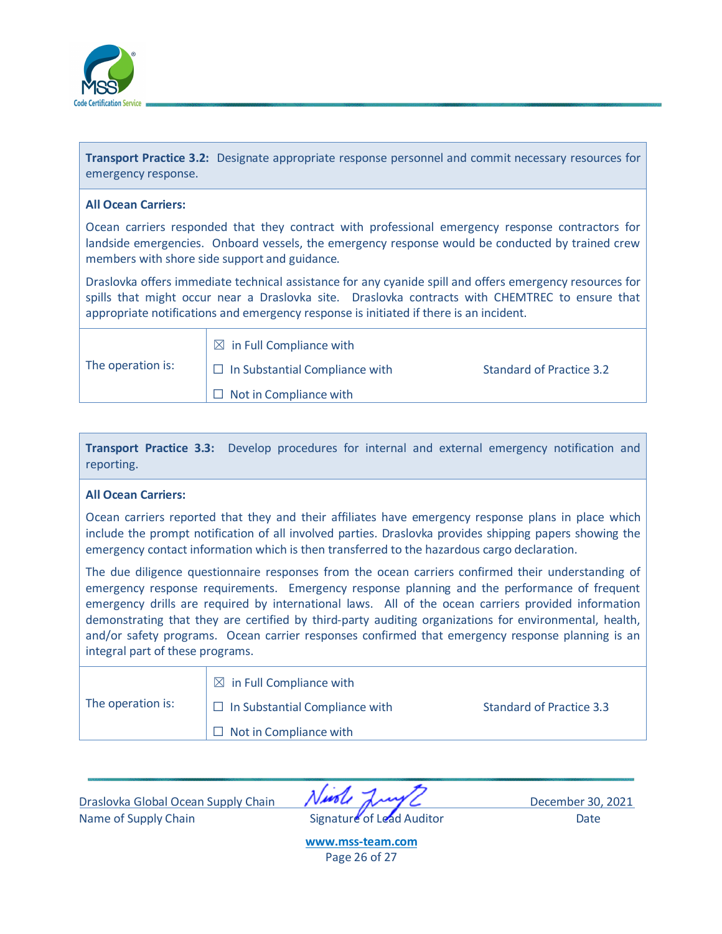

**Transport Practice 3.2:** Designate appropriate response personnel and commit necessary resources for emergency response.

#### **All Ocean Carriers:**

Ocean carriers responded that they contract with professional emergency response contractors for landside emergencies. Onboard vessels, the emergency response would be conducted by trained crew members with shore side support and guidance.

Draslovka offers immediate technical assistance for any cyanide spill and offers emergency resources for spills that might occur near a Draslovka site. Draslovka contracts with CHEMTREC to ensure that appropriate notifications and emergency response is initiated if there is an incident.

| The operation is: | $\boxtimes$ in Full Compliance with   |                          |
|-------------------|---------------------------------------|--------------------------|
|                   | $\Box$ In Substantial Compliance with | Standard of Practice 3.2 |
|                   | Mot in Compliance with                |                          |

| Transport Practice 3.3: Develop procedures for internal and external emergency notification and |  |  |  |  |  |
|-------------------------------------------------------------------------------------------------|--|--|--|--|--|
| reporting.                                                                                      |  |  |  |  |  |

#### **All Ocean Carriers:**

Ocean carriers reported that they and their affiliates have emergency response plans in place which include the prompt notification of all involved parties. Draslovka provides shipping papers showing the emergency contact information which is then transferred to the hazardous cargo declaration.

The due diligence questionnaire responses from the ocean carriers confirmed their understanding of emergency response requirements. Emergency response planning and the performance of frequent emergency drills are required by international laws. All of the ocean carriers provided information demonstrating that they are certified by third-party auditing organizations for environmental, health, and/or safety programs. Ocean carrier responses confirmed that emergency response planning is an integral part of these programs.

| The operation is: | $\boxtimes$ in Full Compliance with   |                          |
|-------------------|---------------------------------------|--------------------------|
|                   | $\Box$ In Substantial Compliance with | Standard of Practice 3.3 |
|                   | $\Box$ Not in Compliance with         |                          |

Draslovka Global Ocean Supply Chain **NAPA AND CONTROL** December 30, 2021 Name of Supply Chain **Signature** of Lead Auditor Date

**[www.mss-team.com](http://www.mss-team.com/)** Page 26 of 27